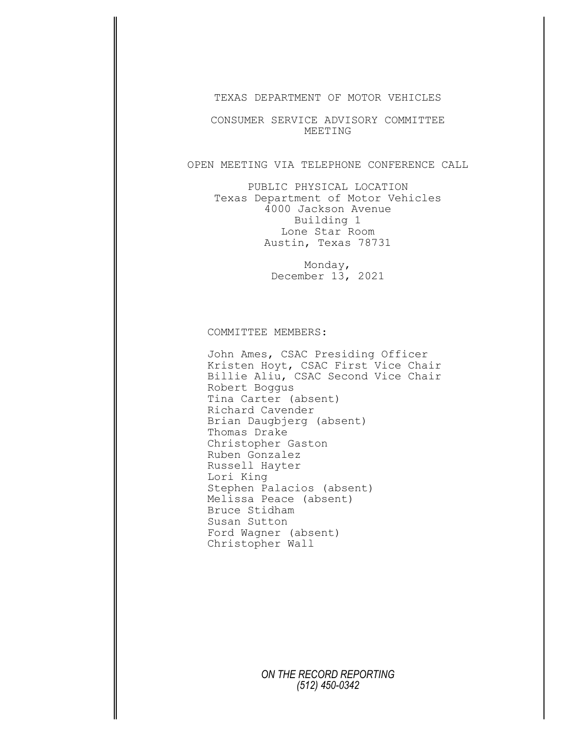TEXAS DEPARTMENT OF MOTOR VEHICLES

CONSUMER SERVICE ADVISORY COMMITTEE MEETING

## OPEN MEETING VIA TELEPHONE CONFERENCE CALL

PUBLIC PHYSICAL LOCATION Texas Department of Motor Vehicles 4000 Jackson Avenue Building 1 Lone Star Room Austin, Texas 78731

> Monday, December 13, 2021

## COMMITTEE MEMBERS:

John Ames, CSAC Presiding Officer Kristen Hoyt, CSAC First Vice Chair Billie Aliu, CSAC Second Vice Chair Robert Boggus Tina Carter (absent) Richard Cavender Brian Daugbjerg (absent) Thomas Drake Christopher Gaston Ruben Gonzalez Russell Hayter Lori King Stephen Palacios (absent) Melissa Peace (absent) Bruce Stidham Susan Sutton Ford Wagner (absent) Christopher Wall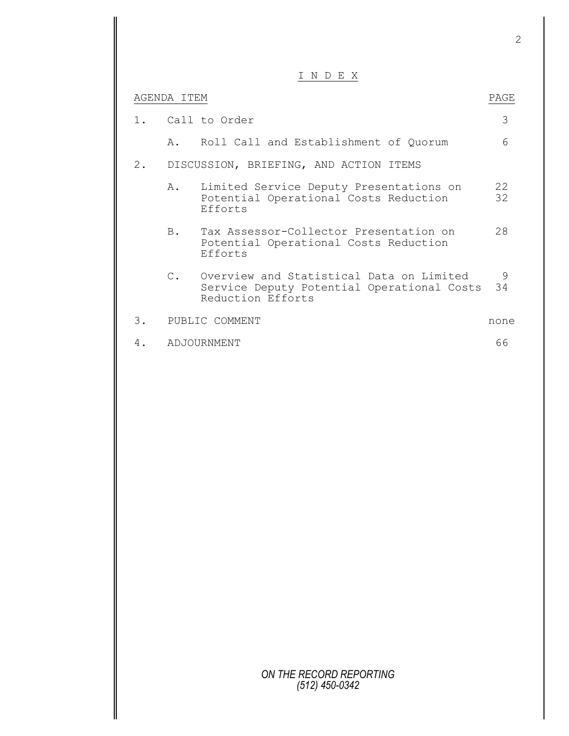I N D E X

|       | AGENDA ITEM |                                                                                                             | PAGE     |
|-------|-------------|-------------------------------------------------------------------------------------------------------------|----------|
| $1$ . |             | Call to Order                                                                                               | 3        |
|       |             | A. Roll Call and Establishment of Quorum                                                                    | 6        |
| 2.    |             | DISCUSSION, BRIEFING, AND ACTION ITEMS                                                                      |          |
|       | A.          | Limited Service Deputy Presentations on<br>Potential Operational Costs Reduction<br>Efforts                 | 22<br>32 |
|       | <b>B</b> .  | Tax Assessor-Collector Presentation on<br>Potential Operational Costs Reduction<br>Efforts                  | 28       |
|       | $C_{\rm L}$ | Overview and Statistical Data on Limited<br>Service Deputy Potential Operational Costs<br>Reduction Efforts | 9<br>34  |
| 3.    |             | PUBLIC COMMENT                                                                                              | none     |
| 4.    |             | ADJOURNMENT                                                                                                 | 66       |
|       |             |                                                                                                             |          |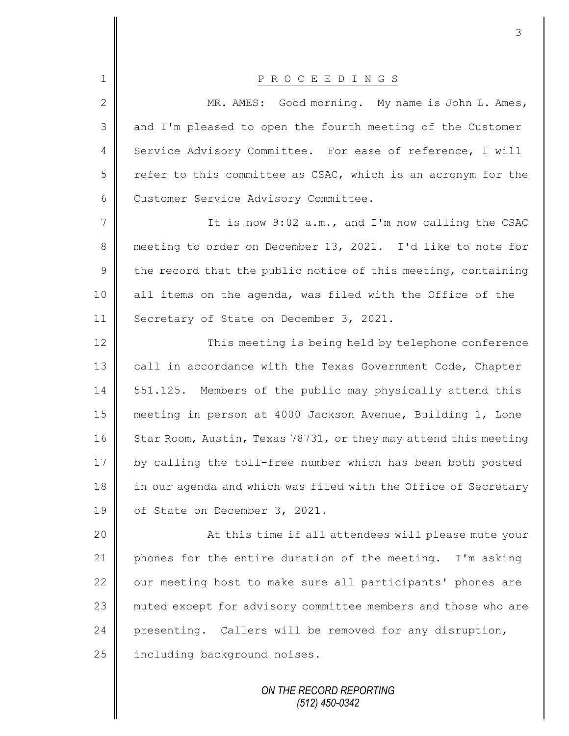| $\mathbf 1$    | P R O C E E D I N G S                                           |
|----------------|-----------------------------------------------------------------|
| $\mathbf{2}$   | MR. AMES: Good morning. My name is John L. Ames,                |
| 3              | and I'm pleased to open the fourth meeting of the Customer      |
| 4              | Service Advisory Committee. For ease of reference, I will       |
| 5              | refer to this committee as CSAC, which is an acronym for the    |
| 6              | Customer Service Advisory Committee.                            |
| $\overline{7}$ | It is now 9:02 a.m., and I'm now calling the CSAC               |
| 8              | meeting to order on December 13, 2021. I'd like to note for     |
| $\mathsf 9$    | the record that the public notice of this meeting, containing   |
| 10             | all items on the agenda, was filed with the Office of the       |
| 11             | Secretary of State on December 3, 2021.                         |
| 12             | This meeting is being held by telephone conference              |
| 13             | call in accordance with the Texas Government Code, Chapter      |
| 14             | 551.125. Members of the public may physically attend this       |
| 15             | meeting in person at 4000 Jackson Avenue, Building 1, Lone      |
| 16             | Star Room, Austin, Texas 78731, or they may attend this meeting |
| 17             | by calling the toll-free number which has been both posted      |
| 18             | in our agenda and which was filed with the Office of Secretary  |
| 19             | of State on December 3, 2021.                                   |
| 20             | At this time if all attendees will please mute your             |
| 21             | phones for the entire duration of the meeting. I'm asking       |
| 22             | our meeting host to make sure all participants' phones are      |
| 23             | muted except for advisory committee members and those who are   |
| 24             | presenting. Callers will be removed for any disruption,         |
| 25             | including background noises.                                    |
|                |                                                                 |

Ι

*ON THE RECORD REPORTING (512) 450-0342*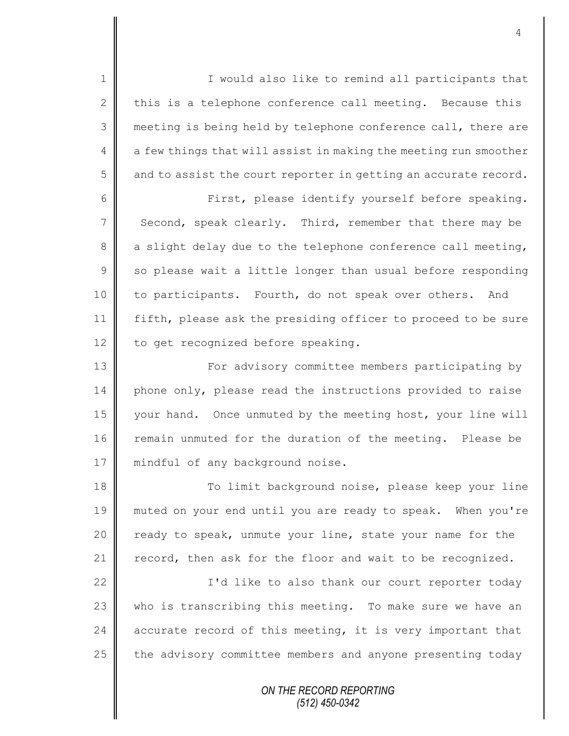1 || I would also like to remind all participants that 2 this is a telephone conference call meeting. Because this 3 meeting is being held by telephone conference call, there are  $4 \parallel a$  few things that will assist in making the meeting run smoother  $5 \parallel$  and to assist the court reporter in getting an accurate record.

6 First, please identify yourself before speaking. 7 Second, speak clearly. Third, remember that there may be 8 a slight delay due to the telephone conference call meeting,  $9 \parallel$  so please wait a little longer than usual before responding 10 to participants. Fourth, do not speak over others. And 11 fifth, please ask the presiding officer to proceed to be sure 12 to get recognized before speaking.

13 | For advisory committee members participating by 14 phone only, please read the instructions provided to raise 15 | your hand. Once unmuted by the meeting host, your line will 16 remain unmuted for the duration of the meeting. Please be 17 | mindful of any background noise.

18 || To limit background noise, please keep your line 19 muted on your end until you are ready to speak. When you're 20 ready to speak, unmute your line, state your name for the 21 record, then ask for the floor and wait to be recognized.

22 | Castrick I'd like to also thank our court reporter today 23 who is transcribing this meeting. To make sure we have an 24 accurate record of this meeting, it is very important that 25 the advisory committee members and anyone presenting today

> *ON THE RECORD REPORTING (512) 450-0342*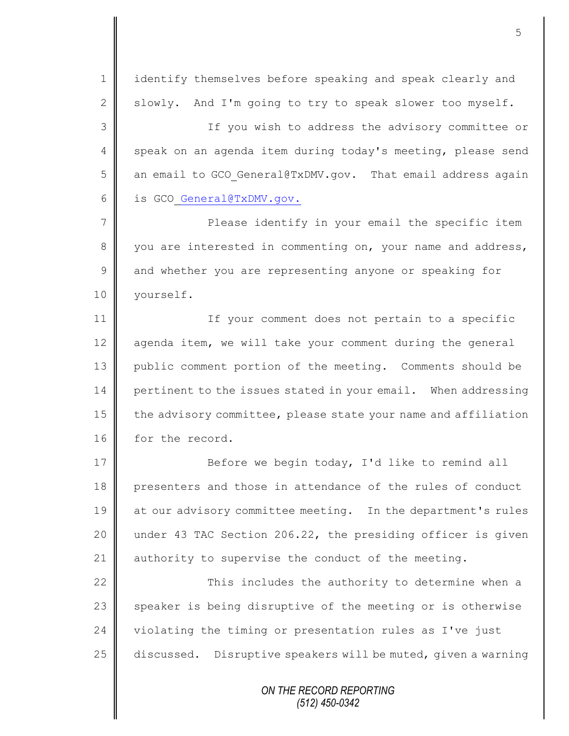*ON THE RECORD REPORTING* 1 | identify themselves before speaking and speak clearly and 2 Slowly. And I'm going to try to speak slower too myself. 3 If you wish to address the advisory committee or 4 speak on an agenda item during today's meeting, please send 5  $\parallel$  an email to GCO General@TxDMV.gov. That email address again 6 is GCO General@TxDMV.gov. 7 || Please identify in your email the specific item 8 you are interested in commenting on, your name and address, 9 and whether you are representing anyone or speaking for 10 | yourself. 11 | If your comment does not pertain to a specific 12  $\parallel$  agenda item, we will take your comment during the general 13 public comment portion of the meeting. Comments should be 14 pertinent to the issues stated in your email. When addressing 15  $\parallel$  the advisory committee, please state your name and affiliation 16 for the record. 17 || Before we begin today, I'd like to remind all 18 presenters and those in attendance of the rules of conduct 19 at our advisory committee meeting. In the department's rules 20 under 43 TAC Section 206.22, the presiding officer is given 21 authority to supervise the conduct of the meeting.  $22$   $\parallel$  This includes the authority to determine when a 23 speaker is being disruptive of the meeting or is otherwise 24 violating the timing or presentation rules as I've just 25 discussed. Disruptive speakers will be muted, given a warning

*(512) 450-0342*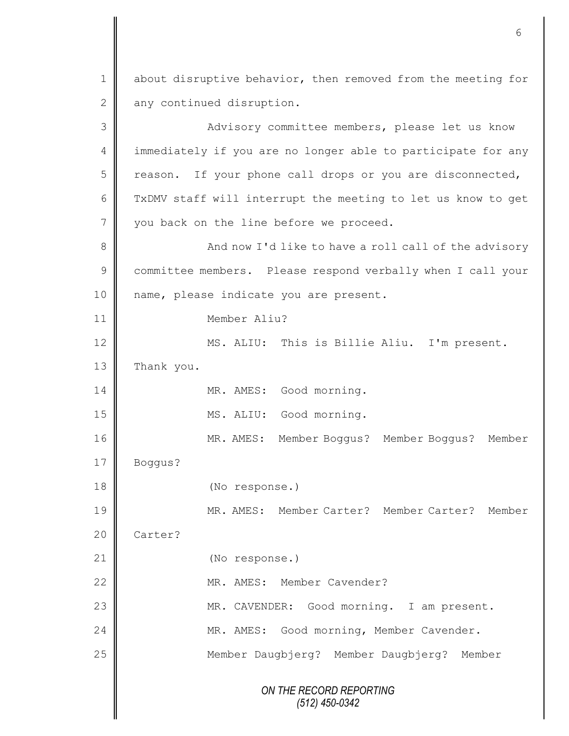*ON THE RECORD REPORTING (512) 450-0342* 1 about disruptive behavior, then removed from the meeting for 2 any continued disruption. 3 || Advisory committee members, please let us know 4 | immediately if you are no longer able to participate for any  $5 \parallel$  reason. If your phone call drops or you are disconnected, 6 TxDMV staff will interrupt the meeting to let us know to get 7 vou back on the line before we proceed. 8 And now I'd like to have a roll call of the advisory 9 committee members. Please respond verbally when I call your 10 || name, please indicate you are present. 11 Member Aliu? 12 || MS. ALIU: This is Billie Aliu. I'm present. 13 Thank you. 14 || MR. AMES: Good morning. 15 MS. ALIU: Good morning. 16 MR. AMES: Member Boggus? Member Boggus? Member 17 Boggus? 18 (No response.) 19 MR. AMES: Member Carter? Member Carter? Member 20 **Carter?** 21 | (No response.) 22 WR. AMES: Member Cavender? 23 | MR. CAVENDER: Good morning. I am present. 24 | MR. AMES: Good morning, Member Cavender. 25 Member Daugbjerg? Member Daugbjerg? Member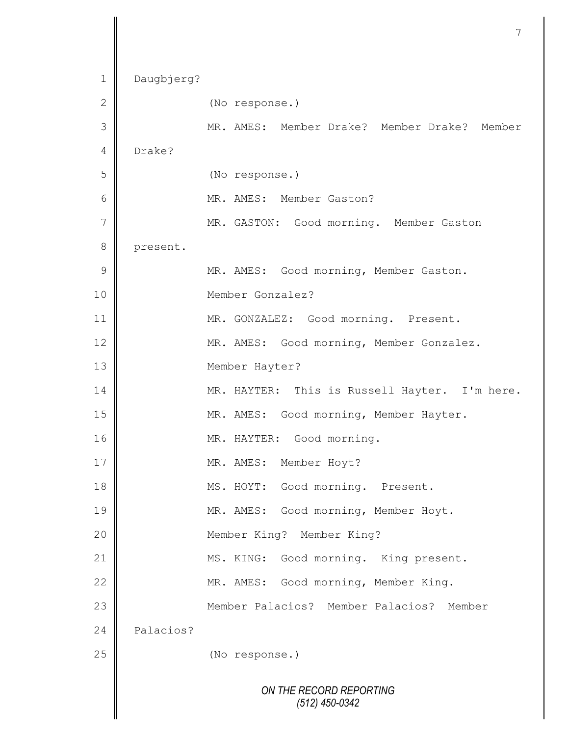```
ON THE RECORD REPORTING
                      (512) 450-0342
1 Daugbjerg?
2 (No response.)
3 MR. AMES: Member Drake? Member Drake? Member 
4 Drake?
5 (No response.)
6 MR. AMES: Member Gaston?
7 || MR. GASTON: Good morning. Member Gaston
8 present.
9 || MR. AMES: Good morning, Member Gaston.
10 Member Gonzalez?
11 | MR. GONZALEZ: Good morning. Present.
12 | MR. AMES: Good morning, Member Gonzalez.
13 Member Hayter?
14 | MR. HAYTER: This is Russell Hayter. I'm here.
15 | MR. AMES: Good morning, Member Hayter.
16 | MR. HAYTER: Good morning.
17 || MR. AMES: Member Hoyt?
18 || MS. HOYT: Good morning. Present.
19 || MR. AMES: Good morning, Member Hoyt.
20 Member King? Member King?
21 | MS. KING: Good morning. King present.
22 | MR. AMES: Good morning, Member King.
23 Member Palacios? Member Palacios? Member 
24 Palacios?
25 (No response.)
```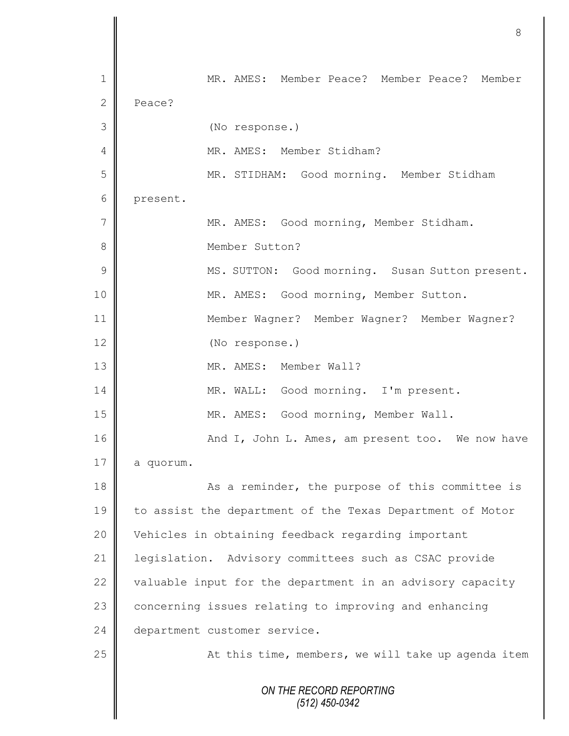*ON THE RECORD REPORTING (512) 450-0342* 1 MR. AMES: Member Peace? Member Peace? Member 2 Peace? 3 (No response.) 4 | MR. AMES: Member Stidham? 5 MR. STIDHAM: Good morning. Member Stidham 6 present. 7 MR. AMES: Good morning, Member Stidham. 8 **||** Member Sutton? 9 || MS. SUTTON: Good morning. Susan Sutton present. 10 | MR. AMES: Good morning, Member Sutton. 11 Member Wagner? Member Wagner? Member Wagner? 12 (No response.) 13 MR. AMES: Member Wall? 14 || MR. WALL: Good morning. I'm present. 15 MR. AMES: Good morning, Member Wall. 16 | March 2016 And I, John L. Ames, am present too. We now have  $17 \parallel$  a quorum. 18 As a reminder, the purpose of this committee is 19 to assist the department of the Texas Department of Motor 20 Vehicles in obtaining feedback regarding important 21 | legislation. Advisory committees such as CSAC provide 22  $\parallel$  valuable input for the department in an advisory capacity 23 concerning issues relating to improving and enhancing 24 department customer service. 25 || At this time, members, we will take up agenda item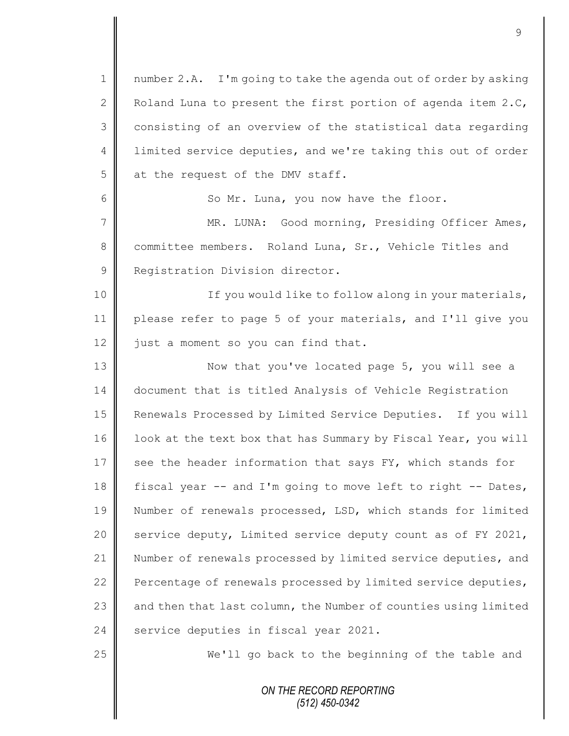| $\mathbf 1$     | number 2.A. I'm going to take the agenda out of order by asking |
|-----------------|-----------------------------------------------------------------|
| 2               | Roland Luna to present the first portion of agenda item 2.C,    |
| 3               | consisting of an overview of the statistical data regarding     |
| 4               | limited service deputies, and we're taking this out of order    |
| 5               | at the request of the DMV staff.                                |
| 6               | So Mr. Luna, you now have the floor.                            |
| $7\phantom{.0}$ | MR. LUNA: Good morning, Presiding Officer Ames,                 |
| 8               | committee members. Roland Luna, Sr., Vehicle Titles and         |
| $\mathsf 9$     | Registration Division director.                                 |
| 10              | If you would like to follow along in your materials,            |
| 11              | please refer to page 5 of your materials, and I'll give you     |
| 12              | just a moment so you can find that.                             |
| 13              | Now that you've located page 5, you will see a                  |
| 14              | document that is titled Analysis of Vehicle Registration        |
| 15              | Renewals Processed by Limited Service Deputies. If you will     |
| 16              | look at the text box that has Summary by Fiscal Year, you will  |
| 17              | see the header information that says FY, which stands for       |
| 18              | fiscal year -- and I'm going to move left to right -- Dates,    |
| 19              | Number of renewals processed, LSD, which stands for limited     |
| 20              | service deputy, Limited service deputy count as of FY 2021,     |
| 21              | Number of renewals processed by limited service deputies, and   |
| 22              | Percentage of renewals processed by limited service deputies,   |
| 23              | and then that last column, the Number of counties using limited |
| 24              | service deputies in fiscal year 2021.                           |
| 25              | We'll go back to the beginning of the table and                 |
|                 | ON THE RECORD REPORTING                                         |

*(512) 450-0342*

Ш  $\mathbf \mathsf I$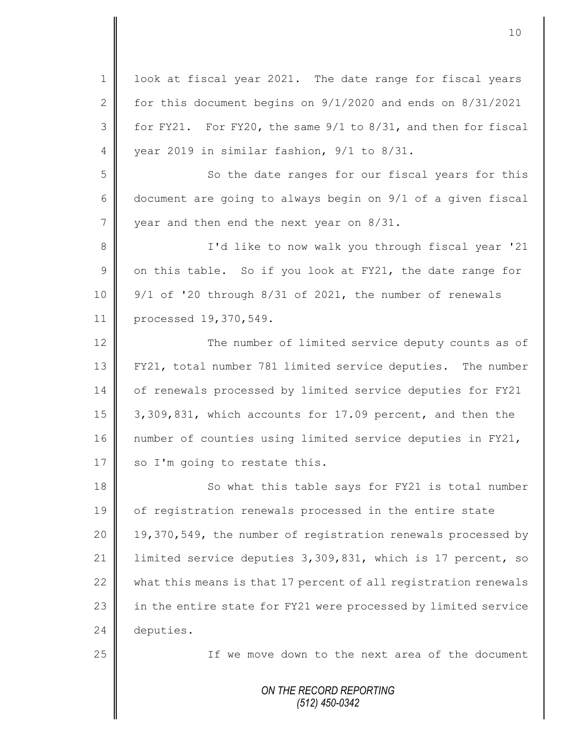| $\mathbf 1$     | look at fiscal year 2021. The date range for fiscal years       |
|-----------------|-----------------------------------------------------------------|
| 2               | for this document begins on $9/1/2020$ and ends on $8/31/2021$  |
| 3               | for FY21. For FY20, the same 9/1 to 8/31, and then for fiscal   |
| 4               | year 2019 in similar fashion, 9/1 to 8/31.                      |
| 5               | So the date ranges for our fiscal years for this                |
| 6               | document are going to always begin on 9/1 of a given fiscal     |
| $7\phantom{.0}$ | year and then end the next year on 8/31.                        |
| 8               | I'd like to now walk you through fiscal year '21                |
| $\overline{9}$  | on this table. So if you look at FY21, the date range for       |
| 10              | 9/1 of '20 through 8/31 of 2021, the number of renewals         |
| 11              | processed 19,370,549.                                           |
| 12              | The number of limited service deputy counts as of               |
| 13              | FY21, total number 781 limited service deputies. The number     |
| 14              | of renewals processed by limited service deputies for FY21      |
| 15              | 3,309,831, which accounts for 17.09 percent, and then the       |
| 16              | number of counties using limited service deputies in FY21,      |
| 17              | so I'm going to restate this.                                   |
| 18              | So what this table says for FY21 is total number                |
| 19              | of registration renewals processed in the entire state          |
| 20              | 19,370,549, the number of registration renewals processed by    |
| 21              | limited service deputies 3,309,831, which is 17 percent, so     |
| 22              | what this means is that 17 percent of all registration renewals |
| 23              | in the entire state for FY21 were processed by limited service  |
| 24              | deputies.                                                       |
| 25              | If we move down to the next area of the document                |
|                 |                                                                 |
|                 | ON THE RECORD REPORTING<br>$(512)$ 450-0342                     |
|                 |                                                                 |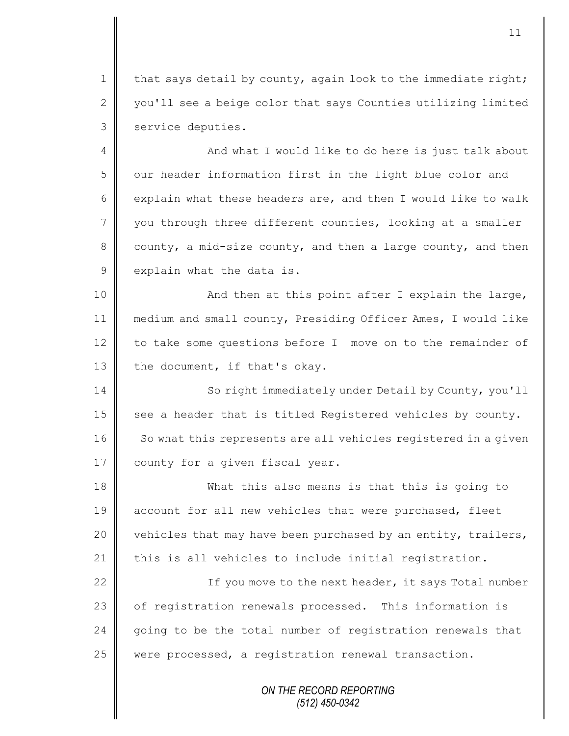1 | that says detail by county, again look to the immediate right; 2 you'll see a beige color that says Counties utilizing limited 3 | service deputies.

4 || And what I would like to do here is just talk about 5 | our header information first in the light blue color and 6 explain what these headers are, and then I would like to walk 7 you through three different counties, looking at a smaller 8 county, a mid-size county, and then a large county, and then  $9 \parallel$  explain what the data is.

10 || And then at this point after I explain the large, 11 medium and small county, Presiding Officer Ames, I would like 12  $\parallel$  to take some questions before I move on to the remainder of 13 the document, if that's okay.

14 || So right immediately under Detail by County, you'll 15 see a header that is titled Registered vehicles by county. 16 So what this represents are all vehicles registered in a given 17 county for a given fiscal year.

18 What this also means is that this is going to 19 account for all new vehicles that were purchased, fleet 20  $\parallel$  vehicles that may have been purchased by an entity, trailers, 21 this is all vehicles to include initial registration.

22 || If you move to the next header, it says Total number 23 | of registration renewals processed. This information is 24 going to be the total number of registration renewals that 25 | were processed, a registration renewal transaction.

> *ON THE RECORD REPORTING (512) 450-0342*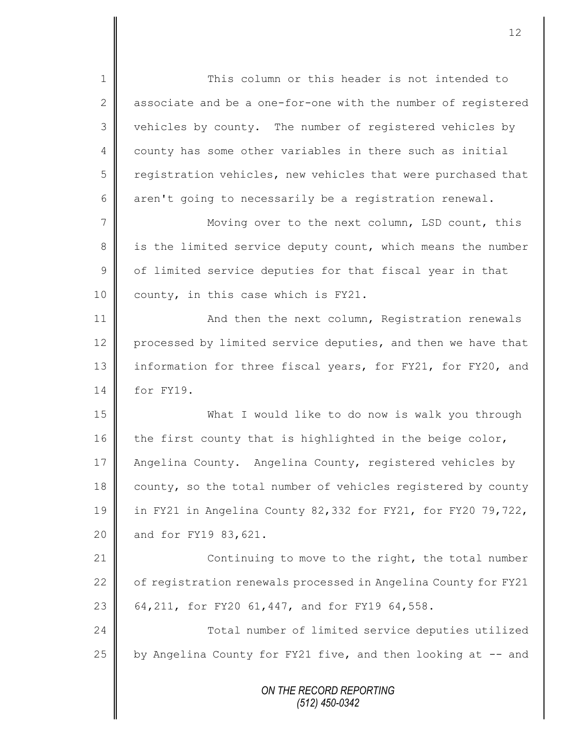*ON THE RECORD REPORTING (512) 450-0342* 1 || This column or this header is not intended to 2 associate and be a one-for-one with the number of reqistered 3 vehicles by county. The number of registered vehicles by 4 county has some other variables in there such as initial 5 registration vehicles, new vehicles that were purchased that 6 aren't going to necessarily be a registration renewal. 7 || Moving over to the next column, LSD count, this 8 || is the limited service deputy count, which means the number  $9 \parallel$  of limited service deputies for that fiscal year in that 10  $\parallel$  county, in this case which is FY21. 11 | And then the next column, Registration renewals 12 processed by limited service deputies, and then we have that 13 information for three fiscal years, for FY21, for FY20, and 14 for FY19. 15 What I would like to do now is walk you through 16 the first county that is highlighted in the beige color, 17 | Angelina County. Angelina County, registered vehicles by 18 county, so the total number of vehicles registered by county 19 in FY21 in Angelina County 82,332 for FY21, for FY20 79,722, 20 and for FY19 83,621. 21 **Continuing to move to the right, the total number** 22  $\parallel$  of registration renewals processed in Angelina County for FY21 23 | 64,211, for FY20 61,447, and for FY19 64,558. 24  $\parallel$  Total number of limited service deputies utilized 25  $\parallel$  by Angelina County for FY21 five, and then looking at -- and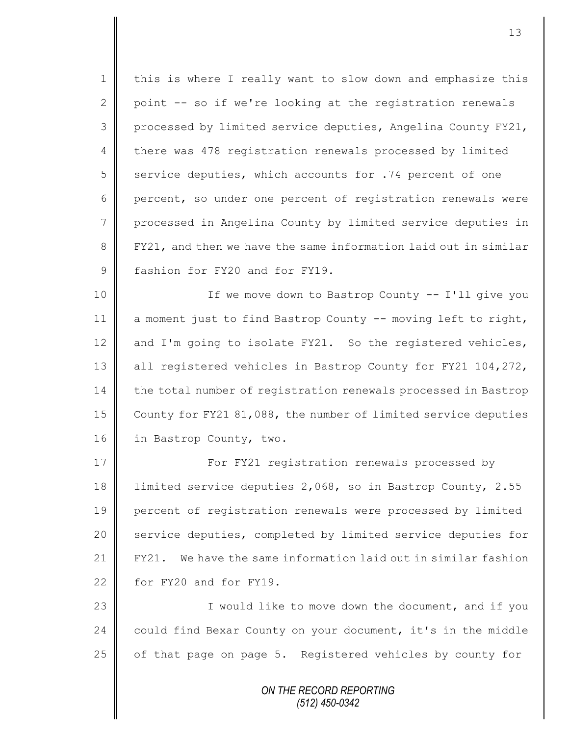1 | this is where I really want to slow down and emphasize this 2 point  $-$  so if we're looking at the registration renewals 3 processed by limited service deputies, Angelina County FY21, 4 there was 478 registration renewals processed by limited 5 service deputies, which accounts for .74 percent of one 6 percent, so under one percent of registration renewals were 7 | processed in Angelina County by limited service deputies in 8 FY21, and then we have the same information laid out in similar 9 fashion for FY20 and for FY19.

10 || If we move down to Bastrop County -- I'll give you 11  $\parallel$  a moment just to find Bastrop County -- moving left to right, 12  $\parallel$  and I'm going to isolate FY21. So the registered vehicles, 13 all registered vehicles in Bastrop County for FY21 104,272, 14 the total number of registration renewals processed in Bastrop 15 County for FY21 81,088, the number of limited service deputies 16 | in Bastrop County, two.

17 | For FY21 reqistration renewals processed by limited service deputies 2,068, so in Bastrop County, 2.55 percent of registration renewals were processed by limited 20 Service deputies, completed by limited service deputies for  $\parallel$  FY21. We have the same information laid out in similar fashion  $\parallel$  for FY20 and for FY19.

23 || **I** would like to move down the document, and if you 24 | could find Bexar County on your document, it's in the middle 25 | of that page on page 5. Registered vehicles by county for

> *ON THE RECORD REPORTING (512) 450-0342*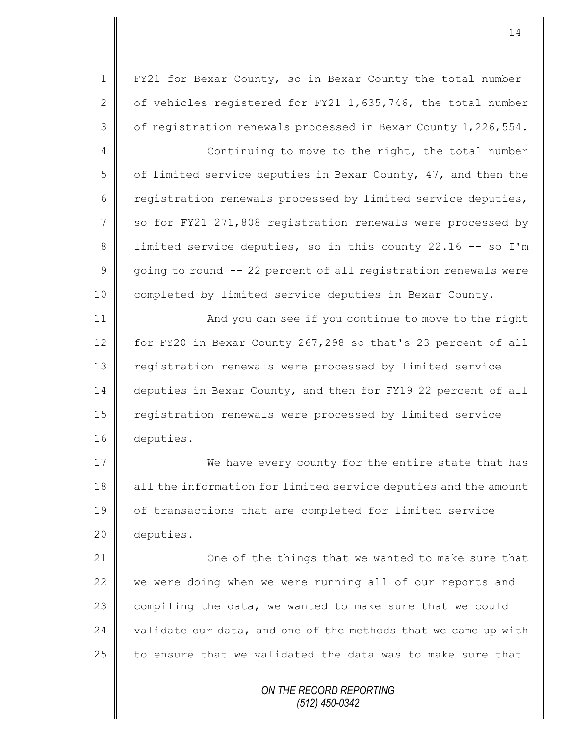1 | FY21 for Bexar County, so in Bexar County the total number 2  $\parallel$  of vehicles registered for FY21 1,635,746, the total number  $3 \parallel$  of registration renewals processed in Bexar County 1,226,554.

4 Continuing to move to the right, the total number 5 | of limited service deputies in Bexar County, 47, and then the 6 cepistration renewals processed by limited service deputies, 7 | so for FY21 271,808 registration renewals were processed by 8 | limited service deputies, so in this county 22.16 -- so I'm  $9 \parallel$  going to round -- 22 percent of all registration renewals were 10 | completed by limited service deputies in Bexar County.

11 | And you can see if you continue to move to the right 12 for FY20 in Bexar County 267,298 so that's 23 percent of all 13 | registration renewals were processed by limited service 14 deputies in Bexar County, and then for FY19 22 percent of all 15 | registration renewals were processed by limited service 16 deputies.

17 We have every county for the entire state that has 18 all the information for limited service deputies and the amount 19 of transactions that are completed for limited service 20 deputies.

**Comecular** One of the things that we wanted to make sure that  $\parallel$  we were doing when we were running all of our reports and compiling the data, we wanted to make sure that we could  $\parallel$  validate our data, and one of the methods that we came up with  $\parallel$  to ensure that we validated the data was to make sure that

> *ON THE RECORD REPORTING (512) 450-0342*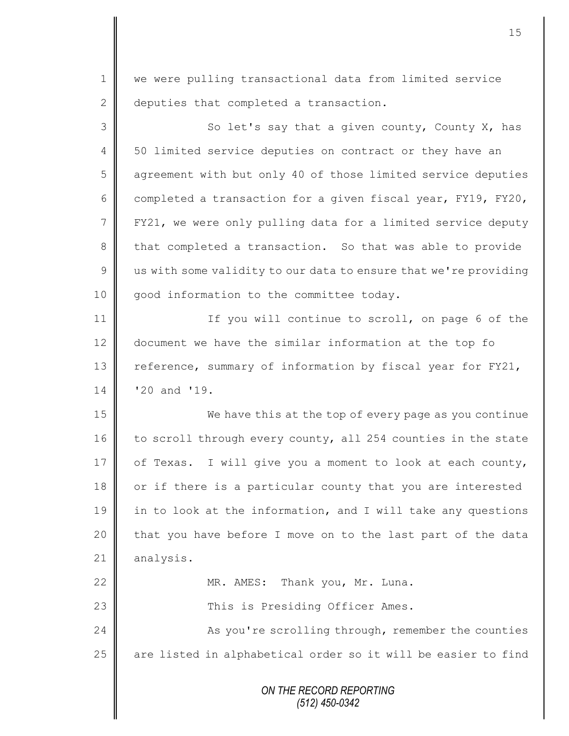1 we were pulling transactional data from limited service 2 deputies that completed a transaction.

3 So let's say that a given county, County X, has 4 | 50 limited service deputies on contract or they have an 5 agreement with but only 40 of those limited service deputies 6 completed a transaction for a given fiscal year, FY19, FY20, 7 FY21, we were only pulling data for a limited service deputy 8 that completed a transaction. So that was able to provide  $9 \parallel$  us with some validity to our data to ensure that we're providing 10 | good information to the committee today. 11 || If you will continue to scroll, on page 6 of the

12 document we have the similar information at the top fo 13 Feference, summary of information by fiscal year for FY21, 14 '20 and '19.

15  $\parallel$  We have this at the top of every page as you continue 16 to scroll through every county, all 254 counties in the state 17  $\parallel$  of Texas. I will give you a moment to look at each county, 18 or if there is a particular county that you are interested 19  $\parallel$  in to look at the information, and I will take any questions 20  $\parallel$  that you have before I move on to the last part of the data 21 | analysis.

22 | MR. AMES: Thank you, Mr. Luna. 23 || This is Presiding Officer Ames.

24 | As you're scrolling through, remember the counties 25  $\parallel$  are listed in alphabetical order so it will be easier to find

> *ON THE RECORD REPORTING (512) 450-0342*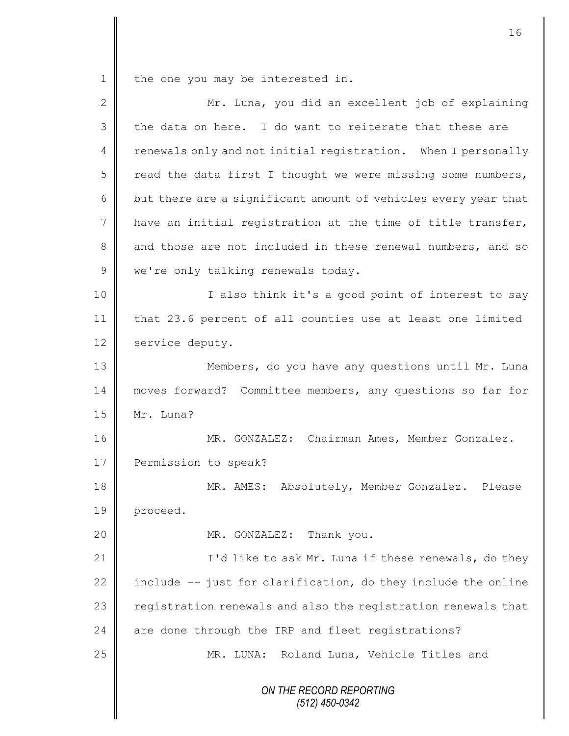1 the one you may be interested in.

| $\overline{2}$ | Mr. Luna, you did an excellent job of explaining               |
|----------------|----------------------------------------------------------------|
| 3              | the data on here. I do want to reiterate that these are        |
| $\overline{4}$ | renewals only and not initial registration. When I personally  |
| 5              | read the data first I thought we were missing some numbers,    |
| 6              | but there are a significant amount of vehicles every year that |
| 7              | have an initial registration at the time of title transfer,    |
| $8\,$          | and those are not included in these renewal numbers, and so    |
| $\mathcal{G}$  | we're only talking renewals today.                             |
| 10             | I also think it's a good point of interest to say              |
| 11             | that 23.6 percent of all counties use at least one limited     |
| 12             | service deputy.                                                |
| 13             | Members, do you have any questions until Mr. Luna              |
| 14             | moves forward? Committee members, any questions so far for     |
| 15             | Mr. Luna?                                                      |
| 16             | MR. GONZALEZ: Chairman Ames, Member Gonzalez.                  |
| 17             | Permission to speak?                                           |
| 18             | MR. AMES: Absolutely, Member Gonzalez. Please                  |
| 19             | proceed.                                                       |
| 20             | MR. GONZALEZ: Thank you.                                       |
| 21             | I'd like to ask Mr. Luna if these renewals, do they            |
| 22             | include -- just for clarification, do they include the online  |
| 23             | registration renewals and also the registration renewals that  |
| 24             | are done through the IRP and fleet registrations?              |
| 25             | MR. LUNA: Roland Luna, Vehicle Titles and                      |
|                | ON THE RECORD REPORTING<br>$(512)$ 450-0342                    |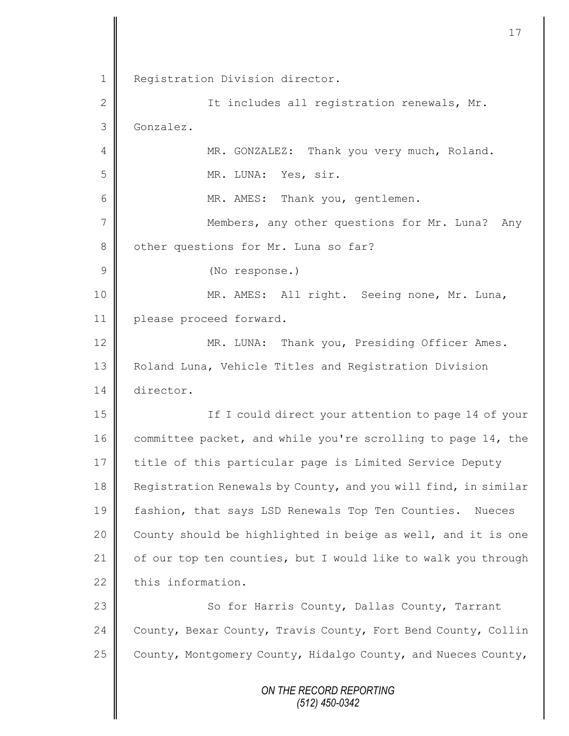*ON THE RECORD REPORTING (512) 450-0342* 1 Registration Division director. 2 || Tt includes all registration renewals, Mr. 3 Gonzalez. 4 || MR. GONZALEZ: Thank you very much, Roland. 5 || MR. LUNA: Yes, sir. 6 || MR. AMES: Thank you, gentlemen. 7 || Members, any other questions for Mr. Luna? Any 8 other questions for Mr. Luna so far? 9 (No response.) 10 MR. AMES: All right. Seeing none, Mr. Luna, 11 | please proceed forward. 12 | MR. LUNA: Thank you, Presiding Officer Ames. 13 | Roland Luna, Vehicle Titles and Registration Division 14 director. 15 || If I could direct your attention to page 14 of your 16 committee packet, and while you're scrolling to page 14, the 17 title of this particular page is Limited Service Deputy 18 **Reqistration Renewals by County, and you will find, in similar** 19 | fashion, that says LSD Renewals Top Ten Counties. Nueces 20  $\parallel$  County should be highlighted in beige as well, and it is one 21  $\parallel$  of our top ten counties, but I would like to walk you through  $22$   $\parallel$  this information. 23 | So for Harris County, Dallas County, Tarrant 24 County, Bexar County, Travis County, Fort Bend County, Collin 25  $\parallel$  County, Montgomery County, Hidalgo County, and Nueces County,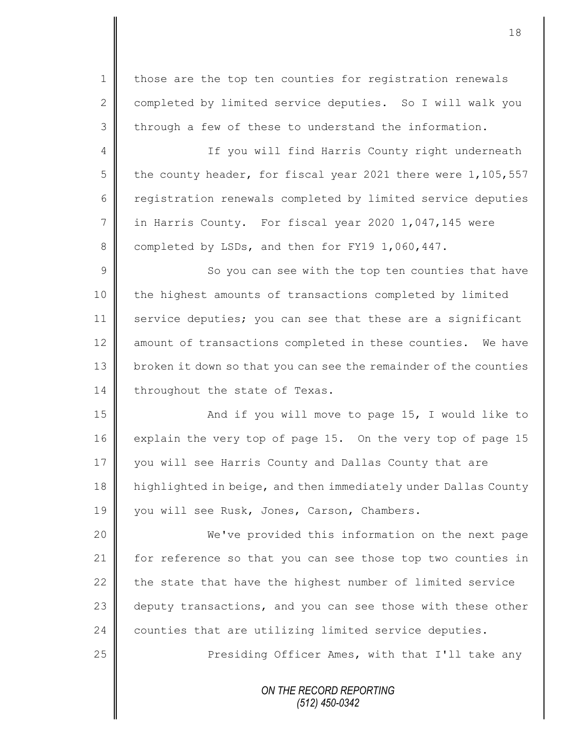1 | those are the top ten counties for registration renewals 2 completed by limited service deputies. So I will walk you  $3 \parallel$  through a few of these to understand the information.

4 || If you will find Harris County right underneath 5 the county header, for fiscal year 2021 there were  $1,105,557$ 6 | registration renewals completed by limited service deputies 7 in Harris County. For fiscal year 2020 1,047,145 were 8 completed by LSDs, and then for FY19 1,060,447.

9 || So you can see with the top ten counties that have 10 | the highest amounts of transactions completed by limited 11 service deputies; you can see that these are a significant 12  $\parallel$  amount of transactions completed in these counties. We have 13 broken it down so that you can see the remainder of the counties 14 throughout the state of Texas.

15 || And if you will move to page 15, I would like to 16 explain the very top of page 15. On the very top of page 15 17 you will see Harris County and Dallas County that are 18 highlighted in beige, and then immediately under Dallas County 19 | you will see Rusk, Jones, Carson, Chambers.

20 We've provided this information on the next page 21 | for reference so that you can see those top two counties in 22  $\parallel$  the state that have the highest number of limited service 23 deputy transactions, and you can see those with these other 24 counties that are utilizing limited service deputies.

25 | Presiding Officer Ames, with that I'll take any

*ON THE RECORD REPORTING (512) 450-0342*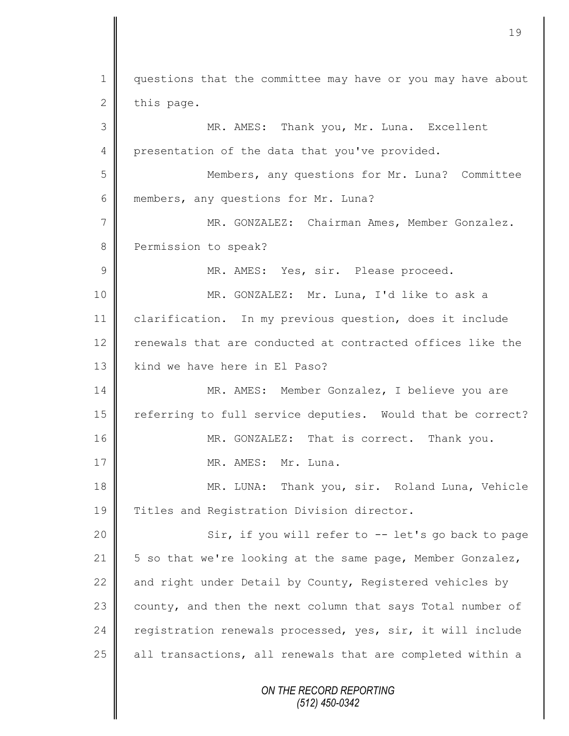*ON THE RECORD REPORTING (512) 450-0342* 1 questions that the committee may have or you may have about  $2$  this page. 3 MR. AMES: Thank you, Mr. Luna. Excellent 4 presentation of the data that you've provided. 5 Members, any questions for Mr. Luna? Committee 6 members, any questions for Mr. Luna? 7 MR. GONZALEZ: Chairman Ames, Member Gonzalez. 8 Permission to speak? 9 || MR. AMES: Yes, sir. Please proceed. 10 MR. GONZALEZ: Mr. Luna, I'd like to ask a 11 clarification. In my previous question, does it include 12 renewals that are conducted at contracted offices like the 13 || kind we have here in El Paso? 14 | MR. AMES: Member Gonzalez, I believe you are 15 | referring to full service deputies. Would that be correct? 16 MR. GONZALEZ: That is correct. Thank you. 17 NR. AMES: Mr. Luna. 18 || MR. LUNA: Thank you, sir. Roland Luna, Vehicle 19 Titles and Registration Division director. 20 || Sir, if you will refer to -- let's go back to page 21  $\parallel$  5 so that we're looking at the same page, Member Gonzalez, 22  $\parallel$  and right under Detail by County, Registered vehicles by 23 county, and then the next column that says Total number of 24 registration renewals processed, yes, sir, it will include  $25$  all transactions, all renewals that are completed within a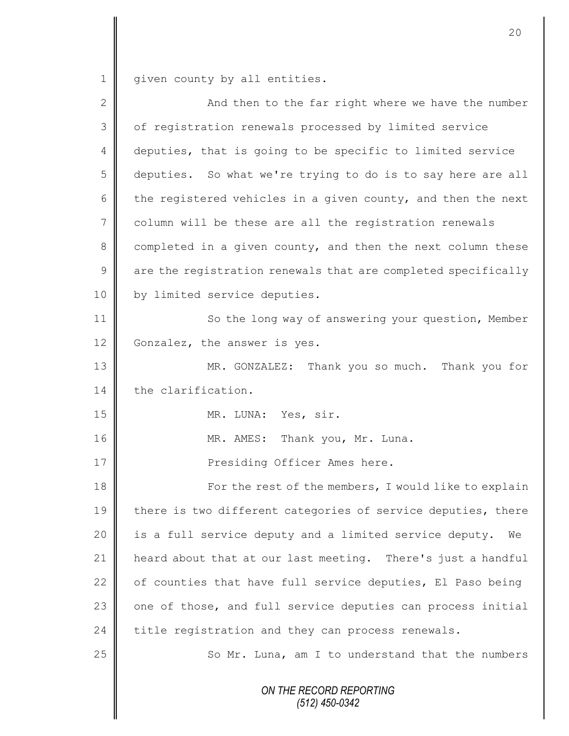1 given county by all entities.

| $\overline{2}$ | And then to the far right where we have the number            |
|----------------|---------------------------------------------------------------|
| 3              | of registration renewals processed by limited service         |
| 4              | deputies, that is going to be specific to limited service     |
| 5              | deputies. So what we're trying to do is to say here are all   |
| 6              | the registered vehicles in a given county, and then the next  |
| 7              | column will be these are all the registration renewals        |
| $8\,$          | completed in a given county, and then the next column these   |
| $\mathsf 9$    | are the registration renewals that are completed specifically |
| 10             | by limited service deputies.                                  |
| 11             | So the long way of answering your question, Member            |
| 12             | Gonzalez, the answer is yes.                                  |
| 13             | MR. GONZALEZ: Thank you so much. Thank you for                |
| 14             | the clarification.                                            |
| 15             | MR. LUNA: Yes, sir.                                           |
| 16             | MR. AMES: Thank you, Mr. Luna.                                |
| 17             | Presiding Officer Ames here.                                  |
| 18             | For the rest of the members, I would like to explain          |
| 19             | there is two different categories of service deputies, there  |
| 20             | is a full service deputy and a limited service deputy.<br>We  |
| 21             | heard about that at our last meeting. There's just a handful  |
| 22             | of counties that have full service deputies, El Paso being    |
| 23             | one of those, and full service deputies can process initial   |
| 24             | title registration and they can process renewals.             |
| 25             | So Mr. Luna, am I to understand that the numbers              |
|                | ON THE RECORD REPORTING<br>$(512)$ 450-0342                   |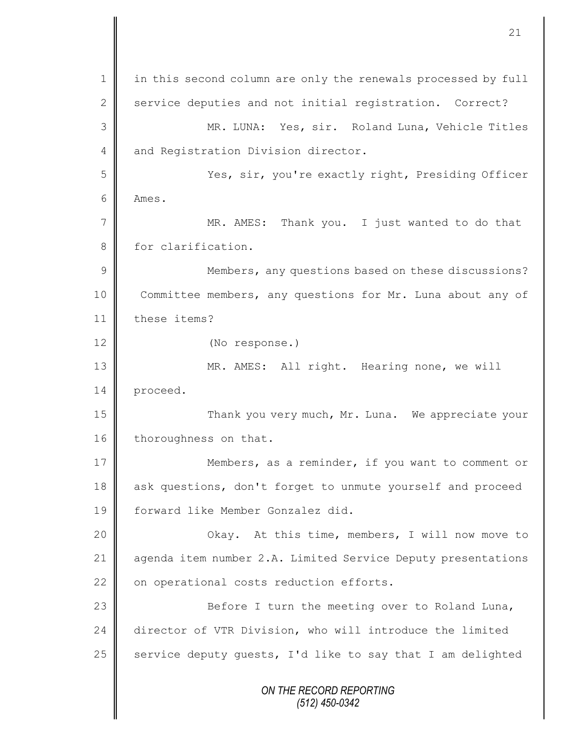*ON THE RECORD REPORTING (512) 450-0342* 1 | in this second column are only the renewals processed by full 2 service deputies and not initial registration. Correct? 3 MR. LUNA: Yes, sir. Roland Luna, Vehicle Titles 4 and Registration Division director. 5 Yes, sir, you're exactly right, Presiding Officer 6 Ames. 7 || MR. AMES: Thank you. I just wanted to do that 8 for clarification. 9 || Members, any questions based on these discussions? 10 Committee members, any questions for Mr. Luna about any of 11 | these items? 12 (No response.) 13 || MR. AMES: All right. Hearing none, we will 14 proceed. 15 Thank you very much, Mr. Luna. We appreciate your 16 thoroughness on that. 17 | Members, as a reminder, if you want to comment or 18 ask questions, don't forget to unmute yourself and proceed 19 forward like Member Gonzalez did. 20 Okay. At this time, members, I will now move to 21 | agenda item number 2.A. Limited Service Deputy presentations  $22$  | on operational costs reduction efforts. 23 | Before I turn the meeting over to Roland Luna, 24 director of VTR Division, who will introduce the limited 25  $\parallel$  service deputy guests, I'd like to say that I am delighted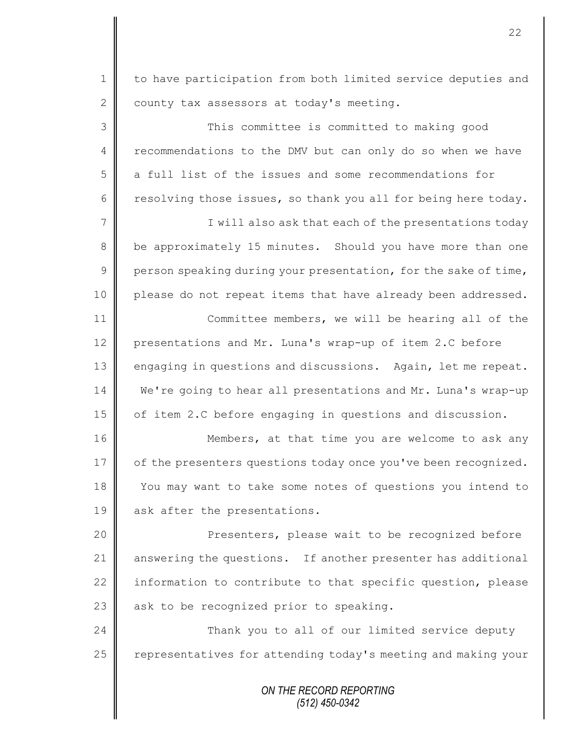1 to have participation from both limited service deputies and  $2 \parallel$  county tax assessors at today's meeting.

3 This committee is committed to making good 4 recommendations to the DMV but can only do so when we have 5 a full list of the issues and some recommendations for 6 resolving those issues, so thank you all for being here today.

7 || I will also ask that each of the presentations today 8 be approximately 15 minutes. Should you have more than one 9 person speaking during your presentation, for the sake of time, 10 | please do not repeat items that have already been addressed. 11 | Committee members, we will be hearing all of the

12 presentations and Mr. Luna's wrap-up of item 2.C before 13 engaging in questions and discussions. Again, let me repeat. 14 We're going to hear all presentations and Mr. Luna's wrap-up 15 | of item 2.C before engaging in questions and discussion.

16 | Members, at that time you are welcome to ask any 17 | of the presenters questions today once you've been recognized. 18 You may want to take some notes of questions you intend to 19 ask after the presentations.

20 || Presenters, please wait to be recognized before 21 answering the questions. If another presenter has additional 22  $\parallel$  information to contribute to that specific question, please 23  $\parallel$  ask to be recognized prior to speaking.

24 **Thank** you to all of our limited service deputy 25 | representatives for attending today's meeting and making your

> *ON THE RECORD REPORTING (512) 450-0342*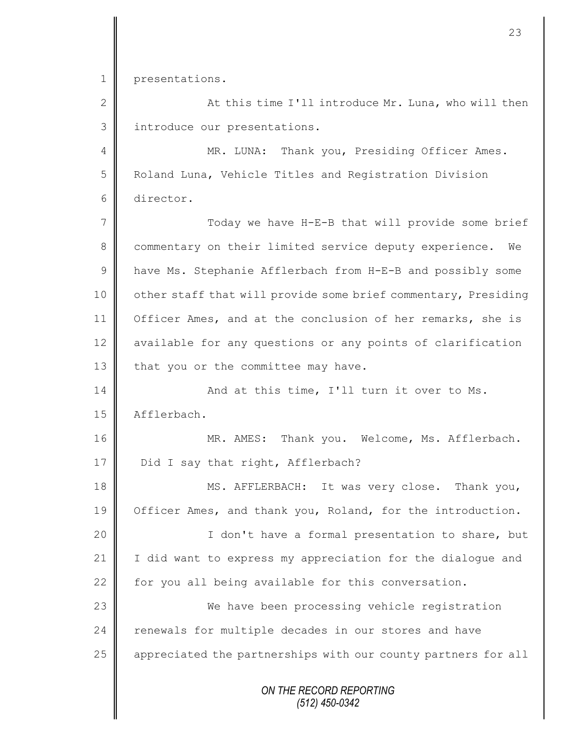1 presentations.

2 At this time I'll introduce Mr. Luna, who will then 3 | introduce our presentations.

4 || MR. LUNA: Thank you, Presiding Officer Ames. 5 Roland Luna, Vehicle Titles and Registration Division 6 director.

7 Today we have H-E-B that will provide some brief 8 commentary on their limited service deputy experience. We 9 | have Ms. Stephanie Afflerbach from H-E-B and possibly some 10 | other staff that will provide some brief commentary, Presiding 11 | Officer Ames, and at the conclusion of her remarks, she is 12 available for any questions or any points of clarification 13  $\parallel$  that you or the committee may have.

14 || And at this time, I'll turn it over to Ms. 15 | Afflerbach.

16 MR. AMES: Thank you. Welcome, Ms. Afflerbach. 17 | Did I say that right, Afflerbach?

18 MS. AFFLERBACH: It was very close. Thank you, 19 | Officer Ames, and thank you, Roland, for the introduction.

20 || I don't have a formal presentation to share, but 21 I did want to express my appreciation for the dialogue and 22  $\parallel$  for you all being available for this conversation.

23 We have been processing vehicle registration 24 renewals for multiple decades in our stores and have 25 | appreciated the partnerships with our county partners for all

> *ON THE RECORD REPORTING (512) 450-0342*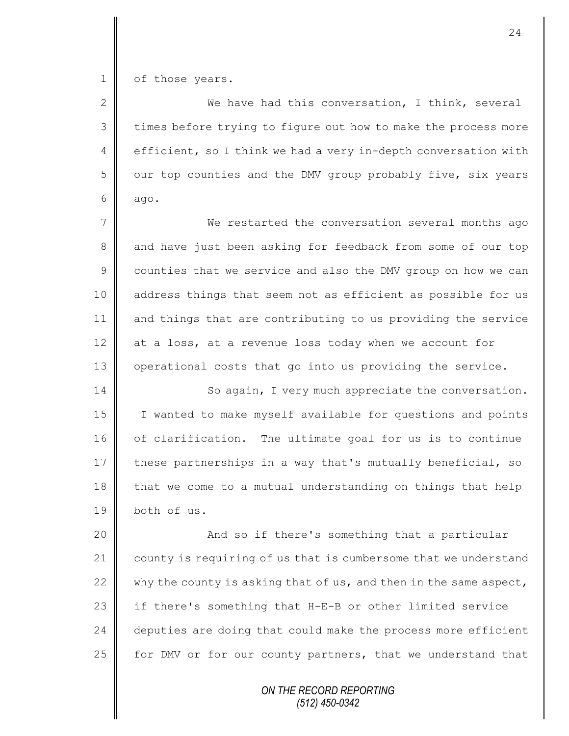1 | of those years.

2 We have had this conversation, I think, several 3 | times before trying to figure out how to make the process more 4 efficient, so I think we had a very in-depth conversation with  $5 \parallel$  our top counties and the DMV group probably five, six years  $6$  ago.

7 We restarted the conversation several months ago 8 and have just been asking for feedback from some of our top 9 counties that we service and also the DMV group on how we can 10 || address things that seem not as efficient as possible for us 11 and things that are contributing to us providing the service 12 at a loss, at a revenue loss today when we account for 13 | operational costs that go into us providing the service.

14 | So again, I very much appreciate the conversation. 15 | I wanted to make myself available for questions and points 16 of clarification. The ultimate goal for us is to continue 17 these partnerships in a way that's mutually beneficial, so 18 that we come to a mutual understanding on things that help 19 both of us.

20 || And so if there's something that a particular 21 county is requiring of us that is cumbersome that we understand 22 why the county is asking that of us, and then in the same aspect, 23 | if there's something that H-E-B or other limited service  $24$   $\parallel$  deputies are doing that could make the process more efficient 25 for DMV or for our county partners, that we understand that

> *ON THE RECORD REPORTING (512) 450-0342*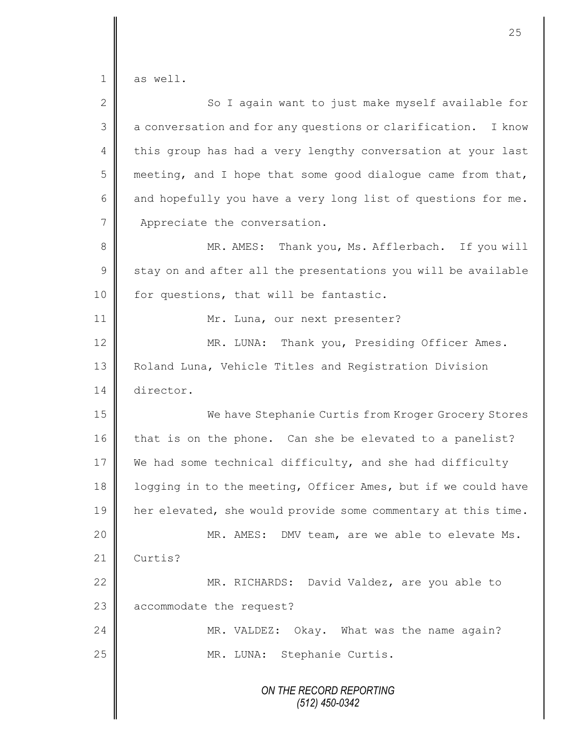1 as well.

| $\overline{2}$ | So I again want to just make myself available for             |
|----------------|---------------------------------------------------------------|
| 3              | a conversation and for any questions or clarification. I know |
| 4              | this group has had a very lengthy conversation at your last   |
| 5              | meeting, and I hope that some good dialogue came from that,   |
| 6              | and hopefully you have a very long list of questions for me.  |
| 7              | Appreciate the conversation.                                  |
| $8\,$          | MR. AMES: Thank you, Ms. Afflerbach. If you will              |
| $\mathcal{G}$  | stay on and after all the presentations you will be available |
| 10             | for questions, that will be fantastic.                        |
| 11             | Mr. Luna, our next presenter?                                 |
| 12             | Thank you, Presiding Officer Ames.<br>MR. LUNA:               |
| 13             | Roland Luna, Vehicle Titles and Registration Division         |
| 14             | director.                                                     |
| 15             | We have Stephanie Curtis from Kroger Grocery Stores           |
| 16             | that is on the phone. Can she be elevated to a panelist?      |
| 17             | We had some technical difficulty, and she had difficulty      |
| 18             | logging in to the meeting, Officer Ames, but if we could have |
| 19             | her elevated, she would provide some commentary at this time. |
| 20             | MR. AMES: DMV team, are we able to elevate Ms.                |
| 21             | Curtis?                                                       |
| 22             | MR. RICHARDS: David Valdez, are you able to                   |
| 23             | accommodate the request?                                      |
| 24             | MR. VALDEZ:<br>Okay. What was the name again?                 |
| 25             | MR. LUNA: Stephanie Curtis.                                   |
|                | ON THE RECORD REPORTING<br>$(512)$ 450-0342                   |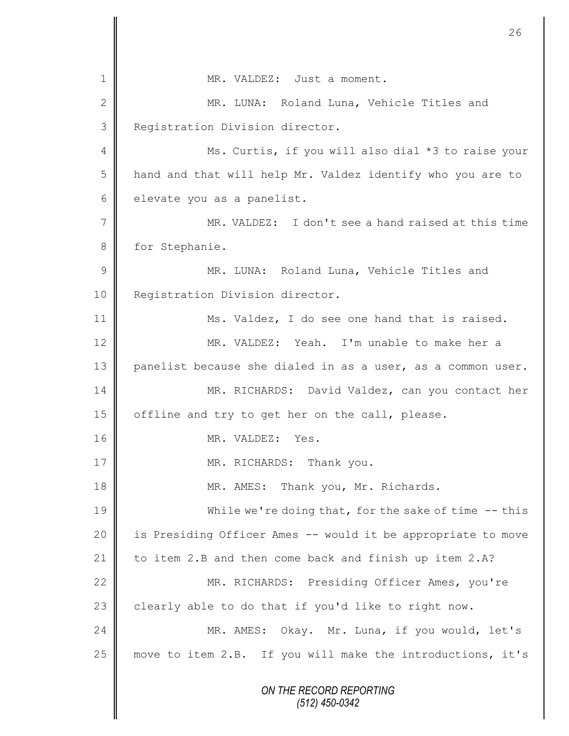*ON THE RECORD REPORTING (512) 450-0342* 1 MR. VALDEZ: Just a moment. 2 || MR. LUNA: Roland Luna, Vehicle Titles and 3 **Registration Division director.** 4 || Ms. Curtis, if you will also dial \*3 to raise your 5 | hand and that will help Mr. Valdez identify who you are to 6 elevate you as a panelist. 7 MR. VALDEZ: I don't see a hand raised at this time 8 for Stephanie. 9 MR. LUNA: Roland Luna, Vehicle Titles and 10 | Registration Division director. 11 Ms. Valdez, I do see one hand that is raised. 12 MR. VALDEZ: Yeah. I'm unable to make her a 13 panelist because she dialed in as a user, as a common user. 14 MR. RICHARDS: David Valdez, can you contact her 15 | offline and try to get her on the call, please. 16 MR. VALDEZ: Yes. 17 || MR. RICHARDS: Thank you. 18 || MR. AMES: Thank you, Mr. Richards. 19 While we're doing that, for the sake of time -- this 20 || is Presiding Officer Ames -- would it be appropriate to move 21 to item 2.B and then come back and finish up item 2.A? 22 | MR. RICHARDS: Presiding Officer Ames, you're 23  $\parallel$  clearly able to do that if you'd like to right now. 24 MR. AMES: Okay. Mr. Luna, if you would, let's 25  $\parallel$  move to item 2.B. If you will make the introductions, it's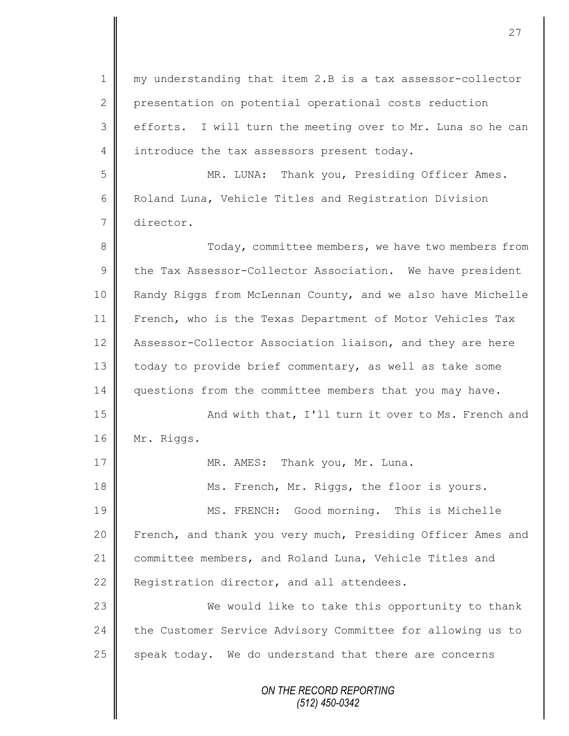*ON THE RECORD REPORTING (512) 450-0342* 1 || my understanding that item 2.B is a tax assessor-collector 2 presentation on potential operational costs reduction 3 efforts. I will turn the meeting over to Mr. Luna so he can 4 introduce the tax assessors present today. 5 MR. LUNA: Thank you, Presiding Officer Ames. 6 Roland Luna, Vehicle Titles and Registration Division 7 director. 8 Today, committee members, we have two members from  $9 \parallel$  the Tax Assessor-Collector Association. We have president 10 | Randy Riggs from McLennan County, and we also have Michelle 11 French, who is the Texas Department of Motor Vehicles Tax 12 Assessor-Collector Association liaison, and they are here 13 | today to provide brief commentary, as well as take some 14 questions from the committee members that you may have. 15 || And with that, I'll turn it over to Ms. French and 16 | Mr. Riggs. 17 | MR. AMES: Thank you, Mr. Luna. 18 Ms. French, Mr. Riggs, the floor is yours. 19 || MS. FRENCH: Good morning. This is Michelle 20 French, and thank you very much, Presiding Officer Ames and 21 committee members, and Roland Luna, Vehicle Titles and 22 Registration director, and all attendees. 23 We would like to take this opportunity to thank 24 the Customer Service Advisory Committee for allowing us to  $25$  speak today. We do understand that there are concerns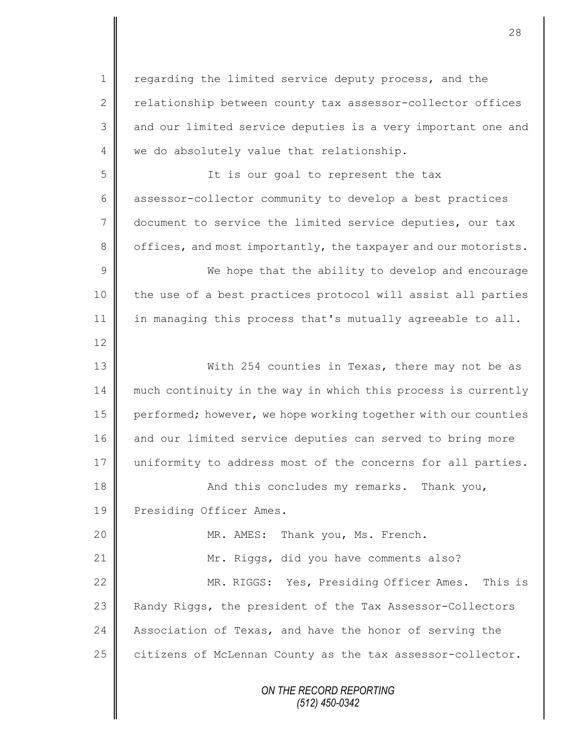*ON THE RECORD REPORTING* 1 | regarding the limited service deputy process, and the 2 relationship between county tax assessor-collector offices 3 and our limited service deputies is a very important one and 4 we do absolutely value that relationship. 5 || It is our goal to represent the tax 6 assessor-collector community to develop a best practices 7 document to service the limited service deputies, our tax 8 offices, and most importantly, the taxpayer and our motorists. 9 We hope that the ability to develop and encourage 10 || the use of a best practices protocol will assist all parties 11  $\parallel$  in managing this process that's mutually agreeable to all. 12 13 With 254 counties in Texas, there may not be as 14 | much continuity in the way in which this process is currently 15 performed; however, we hope working together with our counties 16 and our limited service deputies can served to bring more 17 uniformity to address most of the concerns for all parties. 18 || And this concludes my remarks. Thank you, 19 Presiding Officer Ames. 20 **MR. AMES:** Thank you, Ms. French. 21 | Mr. Riggs, did you have comments also? 22 MR. RIGGS: Yes, Presiding Officer Ames. This is 23 Randy Riggs, the president of the Tax Assessor-Collectors 24 Association of Texas, and have the honor of serving the  $25$  citizens of McLennan County as the tax assessor-collector.

28

*(512) 450-0342*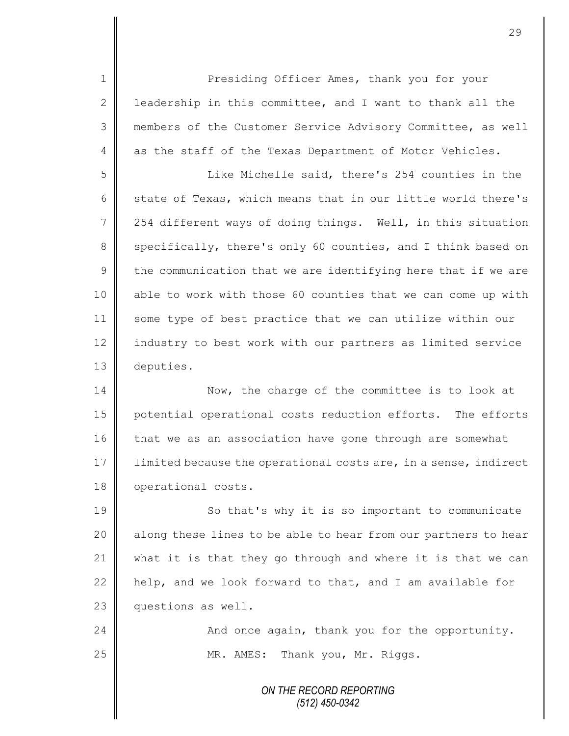1 Presiding Officer Ames, thank you for your 2  $\parallel$  leadership in this committee, and I want to thank all the 3 members of the Customer Service Advisory Committee, as well 4 as the staff of the Texas Department of Motor Vehicles.

5 Like Michelle said, there's 254 counties in the 6 state of Texas, which means that in our little world there's 7 | 254 different ways of doing things. Well, in this situation 8 specifically, there's only 60 counties, and I think based on  $9 \parallel$  the communication that we are identifying here that if we are 10 || able to work with those 60 counties that we can come up with 11 | some type of best practice that we can utilize within our 12 industry to best work with our partners as limited service 13 deputies.

14 Now, the charge of the committee is to look at 15 | potential operational costs reduction efforts. The efforts 16 that we as an association have gone through are somewhat 17 | limited because the operational costs are, in a sense, indirect 18 | operational costs.

19 | So that's why it is so important to communicate 20 || along these lines to be able to hear from our partners to hear 21  $\parallel$  what it is that they go through and where it is that we can 22  $\parallel$  help, and we look forward to that, and I am available for 23 questions as well.

24 And once again, thank you for the opportunity. 25 | MR. AMES: Thank you, Mr. Riggs.

> *ON THE RECORD REPORTING (512) 450-0342*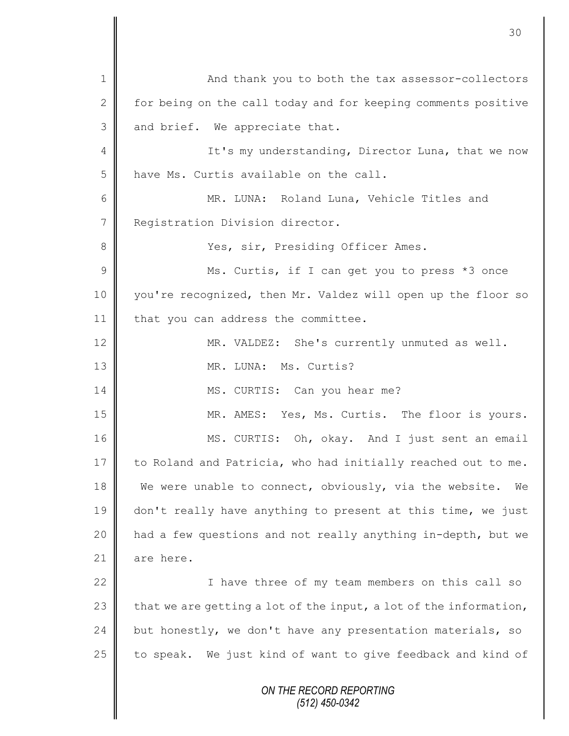*ON THE RECORD REPORTING (512) 450-0342* 1 | And thank you to both the tax assessor-collectors 2 for being on the call today and for keeping comments positive 3 and brief. We appreciate that. 4 || It's my understanding, Director Luna, that we now 5 | have Ms. Curtis available on the call. 6 || MR. LUNA: Roland Luna, Vehicle Titles and 7 | Registration Division director. 8 Yes, sir, Presiding Officer Ames. 9 || Ms. Curtis, if I can get you to press \*3 once 10 you're recognized, then Mr. Valdez will open up the floor so 11 | that you can address the committee. 12 | MR. VALDEZ: She's currently unmuted as well. 13 NR. LUNA: Ms. Curtis? 14 || MS. CURTIS: Can you hear me? 15 MR. AMES: Yes, Ms. Curtis. The floor is yours. 16 MS. CURTIS: Oh, okay. And I just sent an email 17 to Roland and Patricia, who had initially reached out to me. 18 We were unable to connect, obviously, via the website. We 19 don't really have anything to present at this time, we just 20 | had a few questions and not really anything in-depth, but we 21 | are here. 22 | I have three of my team members on this call so 23  $\parallel$  that we are getting a lot of the input, a lot of the information, 24 but honestly, we don't have any presentation materials, so 25  $\parallel$  to speak. We just kind of want to give feedback and kind of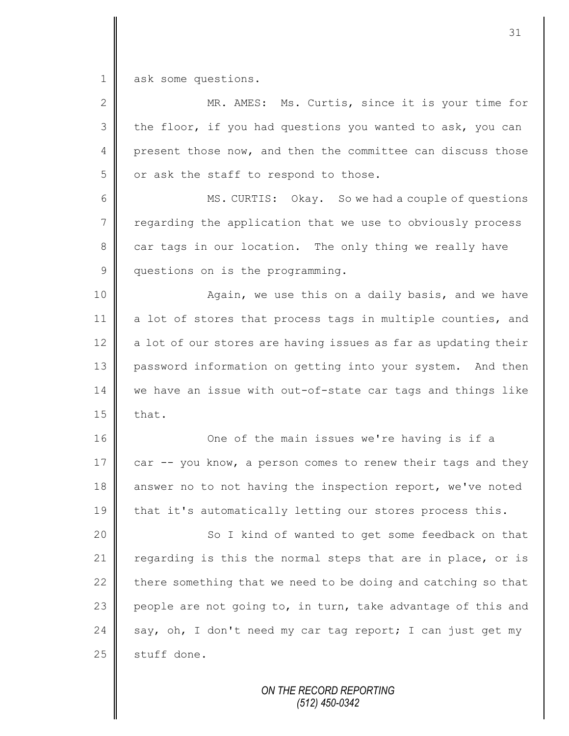1 ask some questions.

| $\overline{2}$ | MR. AMES: Ms. Curtis, since it is your time for                |
|----------------|----------------------------------------------------------------|
| 3              | the floor, if you had questions you wanted to ask, you can     |
| 4              | present those now, and then the committee can discuss those    |
| 5              | or ask the staff to respond to those.                          |
| 6              | MS. CURTIS: Okay. So we had a couple of questions              |
| $\overline{7}$ | regarding the application that we use to obviously process     |
| 8              | car tags in our location. The only thing we really have        |
| $\mathsf 9$    | questions on is the programming.                               |
| 10             | Again, we use this on a daily basis, and we have               |
| 11             | a lot of stores that process tags in multiple counties, and    |
| 12             | a lot of our stores are having issues as far as updating their |
| 13             | password information on getting into your system. And then     |
| 14             | we have an issue with out-of-state car tags and things like    |
| 15             | that.                                                          |
| 16             | One of the main issues we're having is if a                    |
| 17             | car -- you know, a person comes to renew their tags and they   |
| 18             | answer no to not having the inspection report, we've noted     |
| 19             | that it's automatically letting our stores process this.       |
| 20             | So I kind of wanted to get some feedback on that               |
| 21             | regarding is this the normal steps that are in place, or is    |
| 22             | there something that we need to be doing and catching so that  |
| 23             | people are not going to, in turn, take advantage of this and   |
| 24             | say, oh, I don't need my car tag report; I can just get my     |
| 25             | stuff done.                                                    |
|                |                                                                |

*ON THE RECORD REPORTING (512) 450-0342*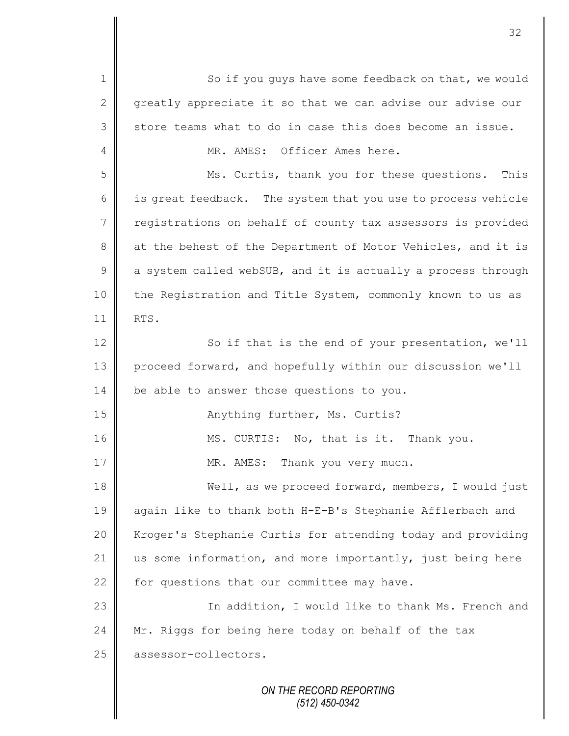*ON THE RECORD REPORTING* 1 So if you guys have some feedback on that, we would 2  $\parallel$  greatly appreciate it so that we can advise our advise our  $3 \parallel$  store teams what to do in case this does become an issue. 4 MR. AMES: Officer Ames here. 5 Ms. Curtis, thank you for these questions. This 6 is great feedback. The system that you use to process vehicle 7 | registrations on behalf of county tax assessors is provided 8 at the behest of the Department of Motor Vehicles, and it is  $9 \parallel$  a system called webSUB, and it is actually a process through 10 the Registration and Title System, commonly known to us as 11 | RTS. 12 | So if that is the end of your presentation, we'll 13 proceed forward, and hopefully within our discussion we'll 14 be able to answer those questions to you. 15 || Anything further, Ms. Curtis? 16 MS. CURTIS: No, that is it. Thank you. 17 | MR. AMES: Thank you very much. 18 **Well, as we proceed forward, members, I would just** 19 || again like to thank both H-E-B's Stephanie Afflerbach and 20 | Kroger's Stephanie Curtis for attending today and providing 21 us some information, and more importantly, just being here  $22$  for questions that our committee may have. 23 || In addition, I would like to thank Ms. French and 24 Mr. Riggs for being here today on behalf of the  $\text{tax}$ 25 assessor-collectors.

32

*(512) 450-0342*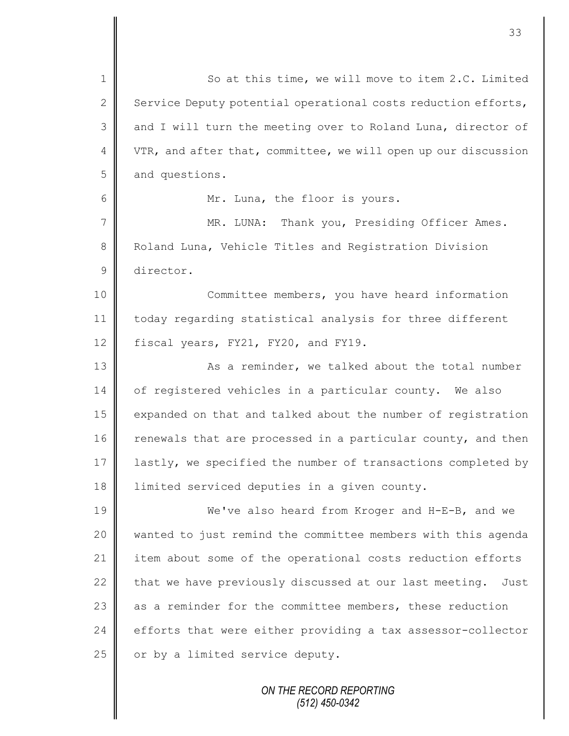1 So at this time, we will move to item 2.C. Limited 2 Service Deputy potential operational costs reduction efforts, 3 and I will turn the meeting over to Roland Luna, director of 4 VTR, and after that, committee, we will open up our discussion 5 and questions. 6 | Mr. Luna, the floor is yours. 7 || MR. LUNA: Thank you, Presiding Officer Ames. 8 Roland Luna, Vehicle Titles and Registration Division 9 director. 10 || Committee members, you have heard information 11 today regarding statistical analysis for three different 12 fiscal years, FY21, FY20, and FY19. 13 | Kas a reminder, we talked about the total number 14 of registered vehicles in a particular county. We also 15 expanded on that and talked about the number of registration  $16$  renewals that are processed in a particular county, and then 17 | lastly, we specified the number of transactions completed by 18 limited serviced deputies in a given county. 19 We've also heard from Kroger and H-E-B, and we 20 wanted to just remind the committee members with this agenda 21 item about some of the operational costs reduction efforts 22  $\parallel$  that we have previously discussed at our last meeting. Just 23  $\parallel$  as a reminder for the committee members, these reduction 24  $\parallel$  efforts that were either providing a tax assessor-collector 25  $\parallel$  or by a limited service deputy.

> *ON THE RECORD REPORTING (512) 450-0342*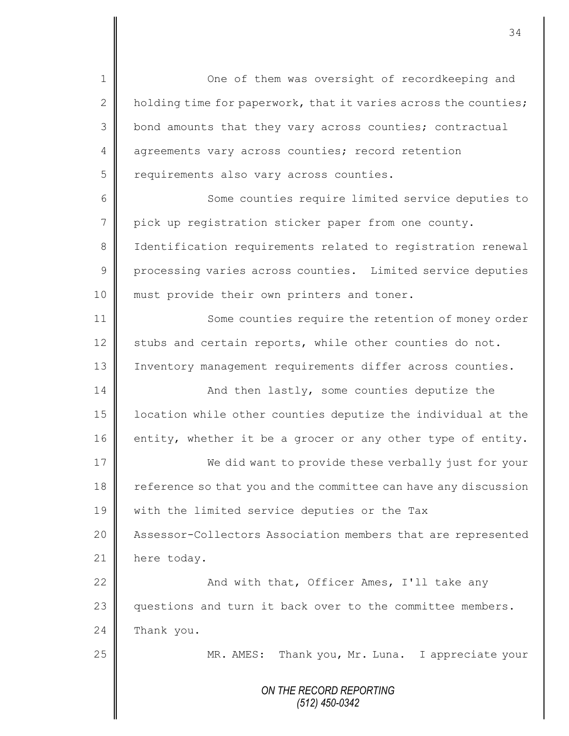*ON THE RECORD REPORTING (512) 450-0342* 1 One of them was oversight of recordkeeping and 2  $\parallel$  holding time for paperwork, that it varies across the counties; 3 | bond amounts that they vary across counties; contractual 4 agreements vary across counties; record retention 5 | requirements also vary across counties. 6 || Some counties require limited service deputies to 7 pick up registration sticker paper from one county. 8 | Identification requirements related to registration renewal 9 processing varies across counties. Limited service deputies 10 || must provide their own printers and toner. 11 Some counties require the retention of money order 12  $\parallel$  stubs and certain reports, while other counties do not. 13 | Inventory management requirements differ across counties. 14 And then lastly, some counties deputize the 15  $\parallel$  1 ocation while other counties deputize the individual at the  $16$  entity, whether it be a grocer or any other type of entity. 17 We did want to provide these verbally just for your 18 reference so that you and the committee can have any discussion 19 | with the limited service deputies or the Tax 20 | Assessor-Collectors Association members that are represented 21 here today. 22 | And with that, Officer Ames, I'll take any 23 questions and turn it back over to the committee members.  $24$  Thank you. 25 || MR. AMES: Thank you, Mr. Luna. I appreciate your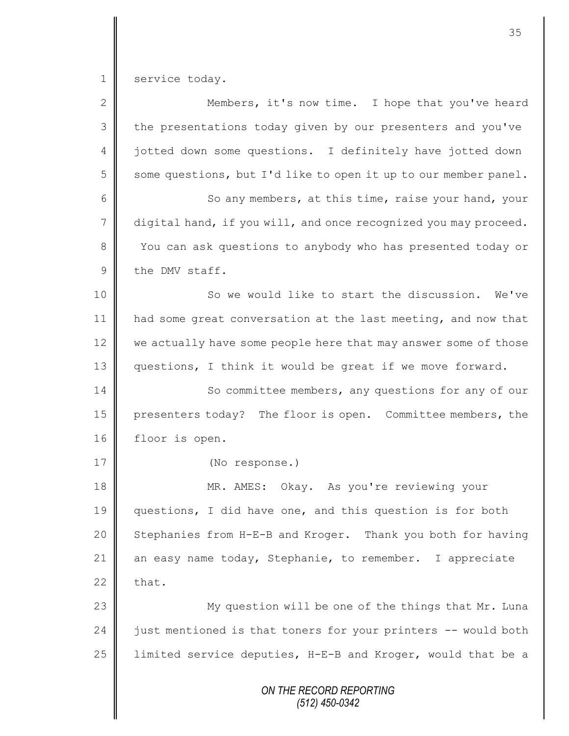1 service today.

| $\mathbf{2}$    | Members, it's now time. I hope that you've heard                |
|-----------------|-----------------------------------------------------------------|
| 3               | the presentations today given by our presenters and you've      |
| 4               | jotted down some questions. I definitely have jotted down       |
| 5               | some questions, but I'd like to open it up to our member panel. |
| 6               | So any members, at this time, raise your hand, your             |
| $7\phantom{.0}$ | digital hand, if you will, and once recognized you may proceed. |
| $8\,$           | You can ask questions to anybody who has presented today or     |
| $\mathcal{G}$   | the DMV staff.                                                  |
| 10              | So we would like to start the discussion.<br>We've              |
| 11              | had some great conversation at the last meeting, and now that   |
| 12              | we actually have some people here that may answer some of those |
| 13              | questions, I think it would be great if we move forward.        |
| 14              | So committee members, any questions for any of our              |
| 15              | presenters today? The floor is open. Committee members, the     |
| 16              | floor is open.                                                  |
| 17              | (No response.)                                                  |
| 18              | MR. AMES: Okay. As you're reviewing your                        |
| 19              | questions, I did have one, and this question is for both        |
| 20              | Stephanies from H-E-B and Kroger. Thank you both for having     |
| 21              | an easy name today, Stephanie, to remember. I appreciate        |
| 22              | that.                                                           |
| 23              | My question will be one of the things that Mr. Luna             |
| 24              | just mentioned is that toners for your printers -- would both   |
| 25              | limited service deputies, H-E-B and Kroger, would that be a     |
|                 | ON THE RECORD REPORTING<br>$(512)$ 450-0342                     |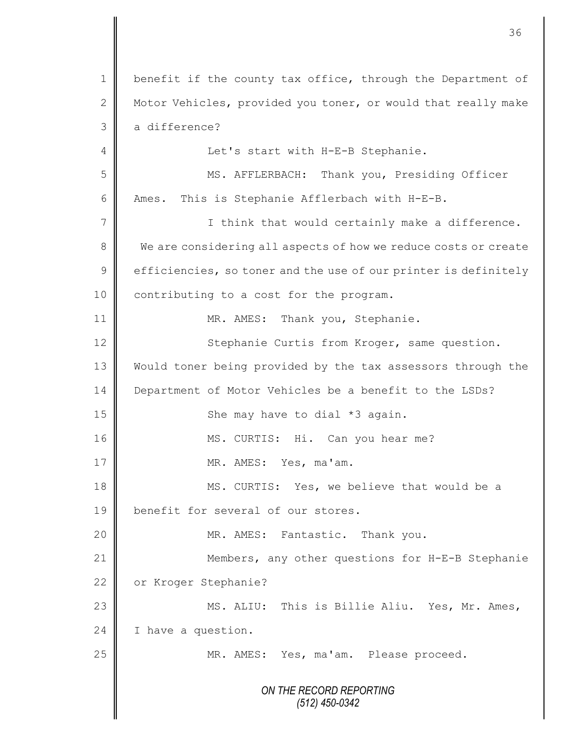| $\mathbf 1$  | benefit if the county tax office, through the Department of     |
|--------------|-----------------------------------------------------------------|
| $\mathbf{2}$ | Motor Vehicles, provided you toner, or would that really make   |
| 3            | a difference?                                                   |
| 4            | Let's start with H-E-B Stephanie.                               |
| 5            | MS. AFFLERBACH: Thank you, Presiding Officer                    |
| 6            | This is Stephanie Afflerbach with H-E-B.<br>Ames.               |
| 7            | I think that would certainly make a difference.                 |
| 8            | We are considering all aspects of how we reduce costs or create |
| $\mathsf 9$  | efficiencies, so toner and the use of our printer is definitely |
| 10           | contributing to a cost for the program.                         |
| 11           | MR. AMES: Thank you, Stephanie.                                 |
| 12           | Stephanie Curtis from Kroger, same question.                    |
| 13           | Would toner being provided by the tax assessors through the     |
| 14           | Department of Motor Vehicles be a benefit to the LSDs?          |
| 15           | She may have to dial *3 again.                                  |
| 16           | MS. CURTIS: Hi. Can you hear me?                                |
| 17           | MR. AMES: Yes, ma'am.                                           |
| 18           | MS. CURTIS: Yes, we believe that would be a                     |
| 19           | benefit for several of our stores.                              |
| 20           | MR. AMES: Fantastic. Thank you.                                 |
| 21           | Members, any other questions for H-E-B Stephanie                |
| 22           | or Kroger Stephanie?                                            |
| 23           | MS. ALIU: This is Billie Aliu. Yes, Mr. Ames,                   |
| 24           | I have a question.                                              |
| 25           | MR. AMES: Yes, ma'am. Please proceed.                           |
|              |                                                                 |
|              | ON THE RECORD REPORTING<br>$(512)$ 450-0342                     |
|              |                                                                 |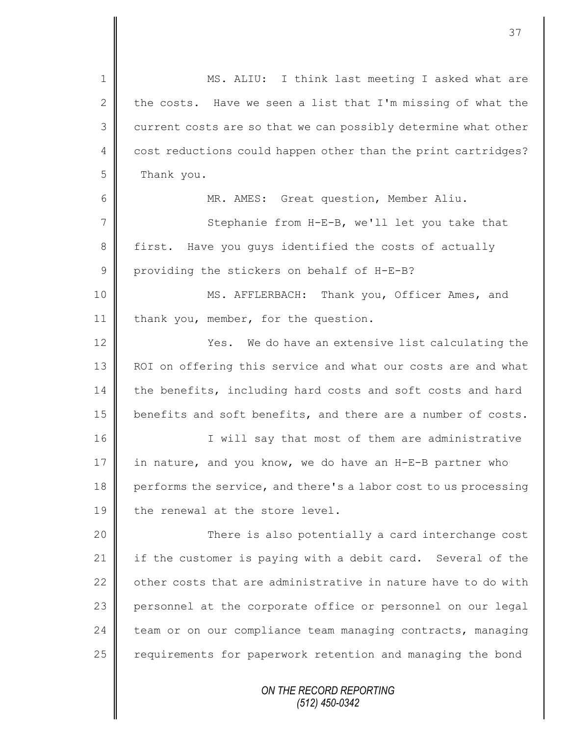| $\mathbf 1$    | MS. ALIU: I think last meeting I asked what are                 |
|----------------|-----------------------------------------------------------------|
| $\mathbf{2}$   | the costs. Have we seen a list that I'm missing of what the     |
| 3              | current costs are so that we can possibly determine what other  |
| $\overline{4}$ | cost reductions could happen other than the print cartridges?   |
| 5              | Thank you.                                                      |
| 6              | MR. AMES: Great question, Member Aliu.                          |
| $\overline{7}$ | Stephanie from H-E-B, we'll let you take that                   |
| 8              | Have you quys identified the costs of actually<br>first.        |
| 9              | providing the stickers on behalf of H-E-B?                      |
| 10             | MS. AFFLERBACH: Thank you, Officer Ames, and                    |
| 11             | thank you, member, for the question.                            |
| 12             | We do have an extensive list calculating the<br>Yes.            |
| 13             | ROI on offering this service and what our costs are and what    |
| 14             | the benefits, including hard costs and soft costs and hard      |
| 15             | benefits and soft benefits, and there are a number of costs.    |
| 16             | I will say that most of them are administrative                 |
| 17             | in nature, and you know, we do have an H-E-B partner who        |
| 18             | performs the service, and there's a labor cost to us processing |
| 19             | the renewal at the store level.                                 |
| 20             | There is also potentially a card interchange cost               |
| 21             | if the customer is paying with a debit card. Several of the     |
| 22             | other costs that are administrative in nature have to do with   |
| 23             | personnel at the corporate office or personnel on our legal     |
| 24             | team or on our compliance team managing contracts, managing     |
| 25             | requirements for paperwork retention and managing the bond      |
|                | ON THE RECORD REPORTING<br>$(512)$ 450-0342                     |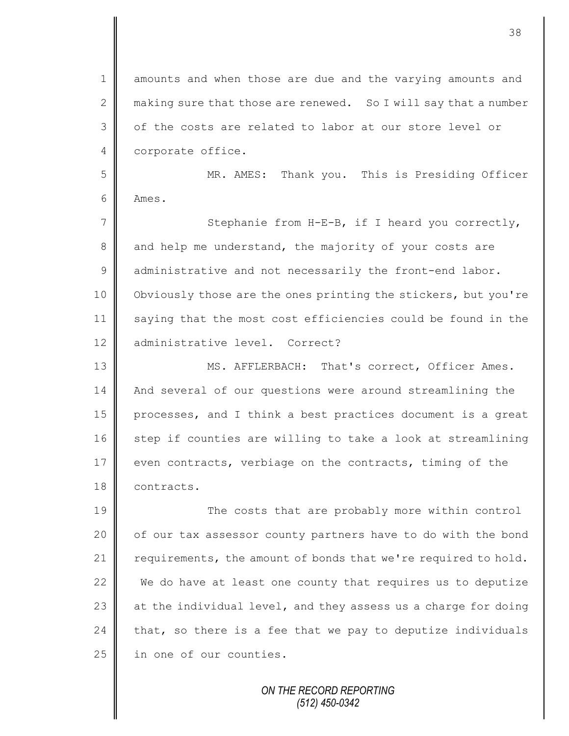1 amounts and when those are due and the varying amounts and 2 making sure that those are renewed. So I will say that a number 3 || of the costs are related to labor at our store level or 4 corporate office.

5 MR. AMES: Thank you. This is Presiding Officer 6 Ames.

7 || Stephanie from H-E-B, if I heard you correctly, 8 and help me understand, the majority of your costs are 9 administrative and not necessarily the front-end labor. 10 | Obviously those are the ones printing the stickers, but you're 11 saying that the most cost efficiencies could be found in the 12 administrative level. Correct?

13 MS. AFFLERBACH: That's correct, Officer Ames. 14 | And several of our questions were around streamlining the 15 processes, and I think a best practices document is a great  $16$  step if counties are willing to take a look at streamlining 17 even contracts, verbiage on the contracts, timing of the 18 **contracts.** 

19 The costs that are probably more within control  $20$  | of our tax assessor county partners have to do with the bond 21  $\parallel$  requirements, the amount of bonds that we're required to hold. 22  $\parallel$  We do have at least one county that requires us to deputize 23  $\parallel$  at the individual level, and they assess us a charge for doing 24 that, so there is a fee that we pay to deputize individuals 25 | in one of our counties.

> *ON THE RECORD REPORTING (512) 450-0342*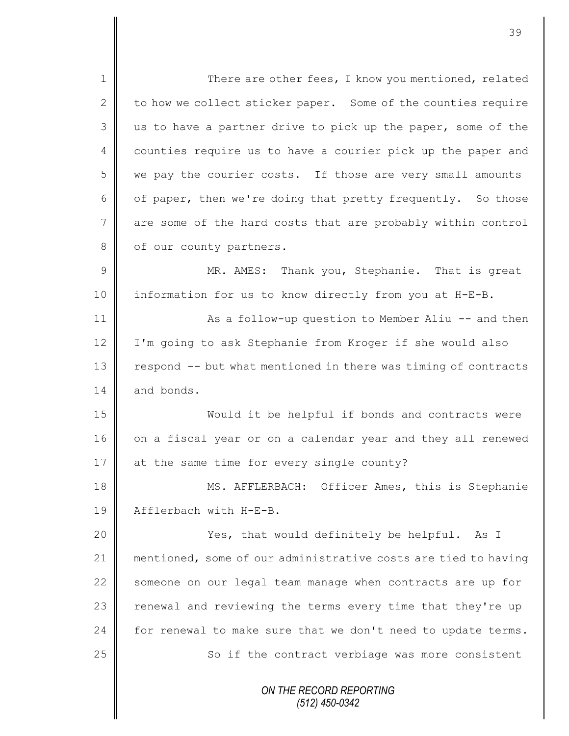*ON THE RECORD REPORTING (512) 450-0342* 1 There are other fees, I know you mentioned, related 2 to how we collect sticker paper. Some of the counties require 3 us to have a partner drive to pick up the paper, some of the 4 | counties require us to have a courier pick up the paper and 5 we pay the courier costs. If those are very small amounts 6 | of paper, then we're doing that pretty frequently. So those 7 are some of the hard costs that are probably within control 8 | of our county partners. 9 || MR. AMES: Thank you, Stephanie. That is great 10 information for us to know directly from you at H-E-B. 11 | As a follow-up question to Member Aliu -- and then 12 | I'm going to ask Stephanie from Kroger if she would also  $13$  respond  $-$ - but what mentioned in there was timing of contracts 14 and bonds. 15 Would it be helpful if bonds and contracts were 16 on a fiscal year or on a calendar year and they all renewed 17 at the same time for every single county? 18 MS. AFFLERBACH: Officer Ames, this is Stephanie 19 | Afflerbach with H-E-B. 20 | Xes, that would definitely be helpful. As I 21 mentioned, some of our administrative costs are tied to having 22 someone on our legal team manage when contracts are up for 23 | renewal and reviewing the terms every time that they're up 24  $\parallel$  for renewal to make sure that we don't need to update terms. 25 | So if the contract verbiage was more consistent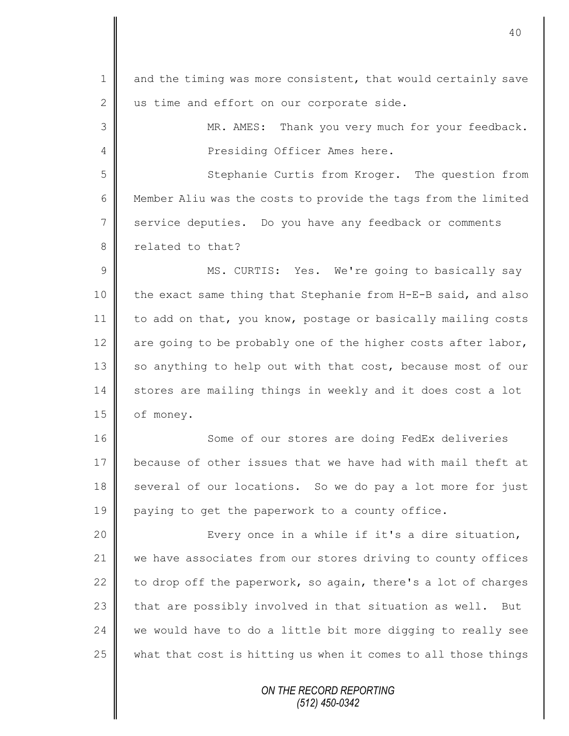*ON THE RECORD REPORTING* 1 and the timing was more consistent, that would certainly save 2 us time and effort on our corporate side. 3 || MR. AMES: Thank you very much for your feedback. 4 | Presiding Officer Ames here. 5 Stephanie Curtis from Kroger. The question from 6 | Member Aliu was the costs to provide the tags from the limited 7 service deputies. Do you have any feedback or comments 8 related to that? 9 || MS. CURTIS: Yes. We're going to basically say 10  $\parallel$  the exact same thing that Stephanie from H-E-B said, and also 11  $\parallel$  to add on that, you know, postage or basically mailing costs 12  $\parallel$  are going to be probably one of the higher costs after labor, 13 | so anything to help out with that cost, because most of our 14 stores are mailing things in weekly and it does cost a lot 15 | of money. 16 || Some of our stores are doing FedEx deliveries 17 because of other issues that we have had with mail theft at 18 several of our locations. So we do pay a lot more for just 19 paying to get the paperwork to a county office. 20 || Every once in a while if it's a dire situation, 21 we have associates from our stores driving to county offices 22  $\parallel$  to drop off the paperwork, so again, there's a lot of charges 23  $\parallel$  that are possibly involved in that situation as well. But 24  $\parallel$  we would have to do a little bit more digging to really see  $25$  what that cost is hitting us when it comes to all those things

*(512) 450-0342*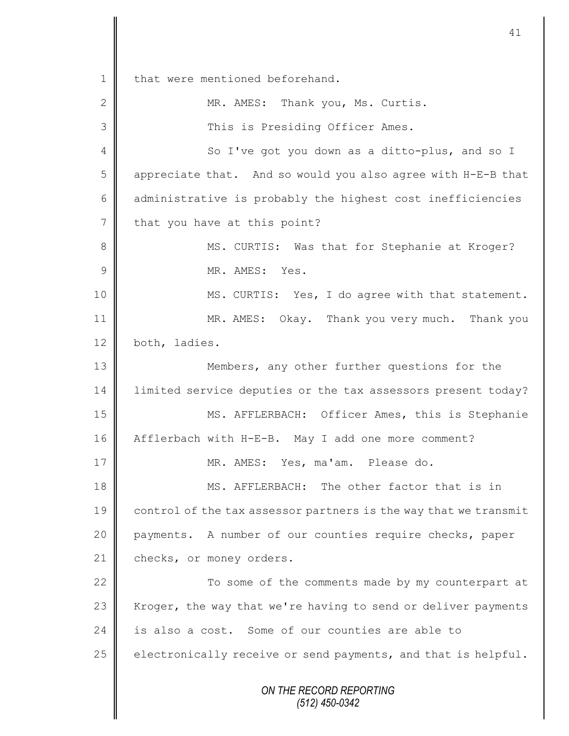*ON THE RECORD REPORTING (512) 450-0342* 1 | that were mentioned beforehand. 2 MR. AMES: Thank you, Ms. Curtis. 3 || This is Presiding Officer Ames. 4 So I've got you down as a ditto-plus, and so I  $5 \parallel$  appreciate that. And so would you also agree with H-E-B that 6 administrative is probably the highest cost inefficiencies  $7$  that you have at this point? 8 MS. CURTIS: Was that for Stephanie at Kroger? 9  $\parallel$  MR. AMES: Yes. 10 || MS. CURTIS: Yes, I do agree with that statement. 11 MR. AMES: Okay. Thank you very much. Thank you 12 both, ladies. 13 **Members, any other further questions for the** 14 | limited service deputies or the tax assessors present today? 15 MS. AFFLERBACH: Officer Ames, this is Stephanie 16 Afflerbach with H-E-B. May I add one more comment? 17 MR. AMES: Yes, ma'am. Please do. 18 **MS.** AFFLERBACH: The other factor that is in 19 control of the tax assessor partners is the way that we transmit 20 payments. A number of our counties require checks, paper 21 checks, or money orders.  $22$   $\parallel$ 23 Kroger, the way that we're having to send or deliver payments 24 is also a cost. Some of our counties are able to 25  $\parallel$  electronically receive or send payments, and that is helpful.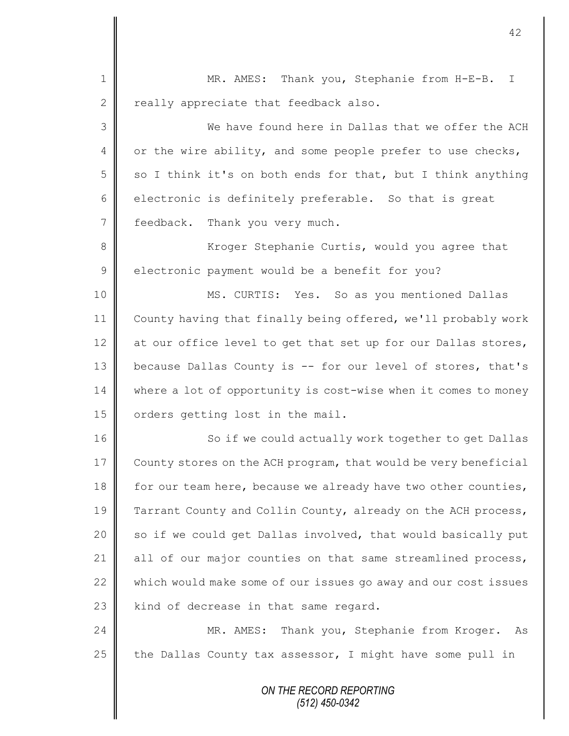*ON THE RECORD REPORTING* 1 || MR. AMES: Thank you, Stephanie from H-E-B. I  $2 \parallel$  really appreciate that feedback also. 3 We have found here in Dallas that we offer the ACH 4 or the wire ability, and some people prefer to use checks, 5 so I think it's on both ends for that, but I think anything 6 electronic is definitely preferable. So that is great 7 | feedback. Thank you very much. 8 Kroger Stephanie Curtis, would you agree that  $9 \parallel$  electronic payment would be a benefit for you? 10 MS. CURTIS: Yes. So as you mentioned Dallas 11 County having that finally being offered, we'll probably work 12 at our office level to get that set up for our Dallas stores, 13 because Dallas County is -- for our level of stores, that's 14 where a lot of opportunity is cost-wise when it comes to money 15 | orders getting lost in the mail. 16 || So if we could actually work together to get Dallas 17 County stores on the ACH program, that would be very beneficial 18 for our team here, because we already have two other counties, 19 Tarrant County and Collin County, already on the ACH process, 20  $\parallel$  so if we could get Dallas involved, that would basically put 21 all of our major counties on that same streamlined process, 22  $\parallel$  which would make some of our issues go away and our cost issues 23 | kind of decrease in that same regard. 24 MR. AMES: Thank you, Stephanie from Kroger. As 25  $\parallel$  the Dallas County tax assessor, I might have some pull in

42

*(512) 450-0342*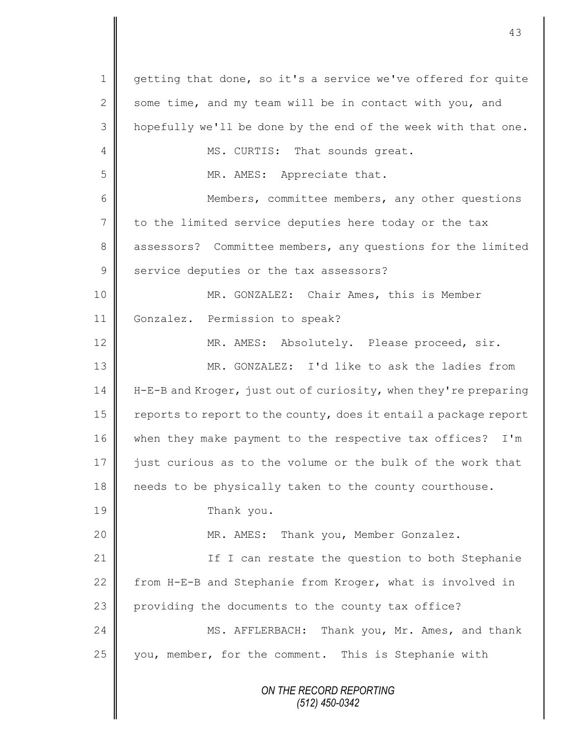*ON THE RECORD REPORTING (512) 450-0342* 1 getting that done, so it's a service we've offered for quite 2 some time, and my team will be in contact with you, and 3 || hopefully we'll be done by the end of the week with that one. 4 MS. CURTIS: That sounds great. 5 || MR. AMES: Appreciate that. 6 Members, committee members, any other questions 7 to the limited service deputies here today or the tax 8 assessors? Committee members, any questions for the limited 9 service deputies or the tax assessors? 10 || MR. GONZALEZ: Chair Ames, this is Member 11 Gonzalez. Permission to speak? 12 | MR. AMES: Absolutely. Please proceed, sir. 13 MR. GONZALEZ: I'd like to ask the ladies from 14 He-B and Kroger, just out of curiosity, when they're preparing 15  $\parallel$  reports to report to the county, does it entail a package report 16 when they make payment to the respective tax offices? I'm 17 iust curious as to the volume or the bulk of the work that 18 needs to be physically taken to the county courthouse. 19 Thank you. 20 MR. AMES: Thank you, Member Gonzalez. 21 | If I can restate the question to both Stephanie 22 From H-E-B and Stephanie from Kroger, what is involved in  $23$  providing the documents to the county tax office? 24 MS. AFFLERBACH: Thank you, Mr. Ames, and thank 25 | you, member, for the comment. This is Stephanie with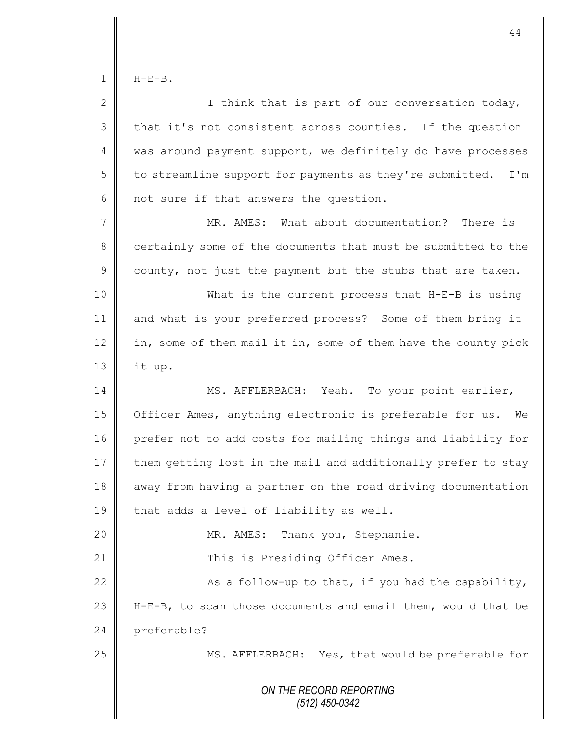$1 \parallel$  H-E-B.

| $\mathbf{2}$   | I think that is part of our conversation today,                 |
|----------------|-----------------------------------------------------------------|
| 3              | that it's not consistent across counties. If the question       |
| 4              | was around payment support, we definitely do have processes     |
| 5              | to streamline support for payments as they're submitted.<br>I'm |
| 6              | not sure if that answers the question.                          |
| $\overline{7}$ | MR. AMES: What about documentation? There is                    |
| $8\,$          | certainly some of the documents that must be submitted to the   |
| $\mathsf 9$    | county, not just the payment but the stubs that are taken.      |
| 10             | What is the current process that H-E-B is using                 |
| 11             | and what is your preferred process? Some of them bring it       |
| 12             | in, some of them mail it in, some of them have the county pick  |
| 13             | it up.                                                          |
| 14             | MS. AFFLERBACH: Yeah. To your point earlier,                    |
| 15             | Officer Ames, anything electronic is preferable for us. We      |
| 16             | prefer not to add costs for mailing things and liability for    |
| 17             | them getting lost in the mail and additionally prefer to stay   |
| 18             | away from having a partner on the road driving documentation    |
| 19             | that adds a level of liability as well.                         |
| 20             | Thank you, Stephanie.<br>MR. AMES:                              |
| 21             | This is Presiding Officer Ames.                                 |
| 22             | As a follow-up to that, if you had the capability,              |
| 23             | H-E-B, to scan those documents and email them, would that be    |
| 24             | preferable?                                                     |
| 25             | MS. AFFLERBACH: Yes, that would be preferable for               |
|                | ON THE RECORD REPORTING<br>$(512)$ 450-0342                     |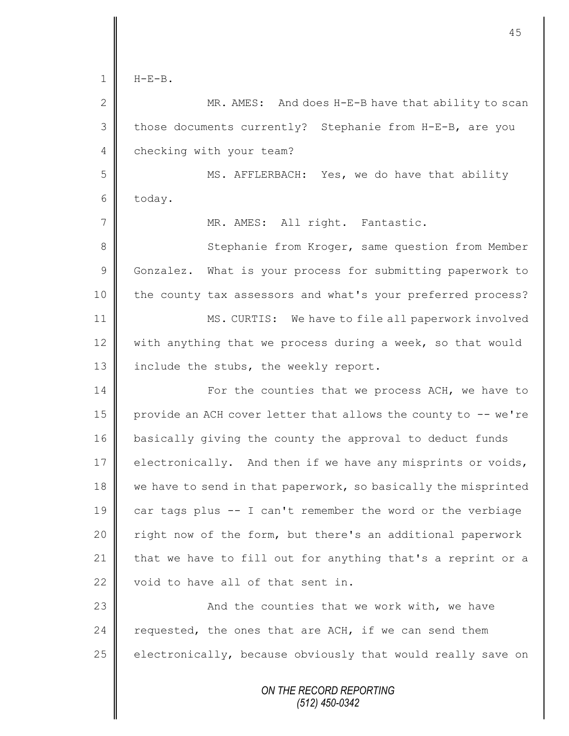$1 \parallel$  H-F-B.

2 MR. AMES: And does H-E-B have that ability to scan 3 those documents currently? Stephanie from H-E-B, are you 4 checking with your team? 5 MS. AFFLERBACH: Yes, we do have that ability  $6$  today. 7 || MR. AMES: All right. Fantastic. 8 Stephanie from Kroger, same question from Member 9 Gonzalez. What is your process for submitting paperwork to 10 the county tax assessors and what's your preferred process? 11 **MS. CURTIS:** We have to file all paperwork involved 12 with anything that we process during a week, so that would 13  $\parallel$  include the stubs, the weekly report. 14 | For the counties that we process ACH, we have to 15  $\parallel$  provide an ACH cover letter that allows the county to  $-$ - we're 16 basically giving the county the approval to deduct funds 17 electronically. And then if we have any misprints or voids, 18  $\parallel$  we have to send in that paperwork, so basically the misprinted 19 car tags plus -- I can't remember the word or the verbiage 20 | right now of the form, but there's an additional paperwork 21  $\parallel$  that we have to fill out for anything that's a reprint or a 22 void to have all of that sent in. 23 | Constant Mand the counties that we work with, we have 24  $\parallel$  requested, the ones that are ACH, if we can send them 25  $\parallel$  electronically, because obviously that would really save on

> *ON THE RECORD REPORTING (512) 450-0342*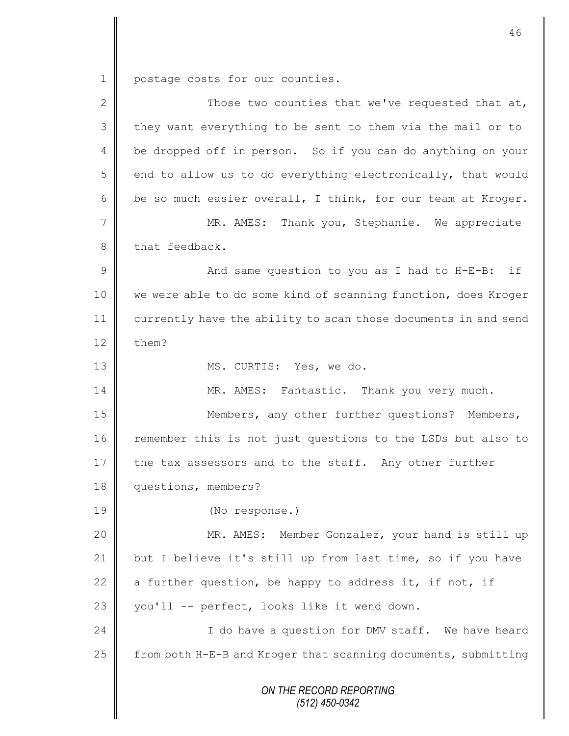1 postage costs for our counties.

| $\overline{2}$  | Those two counties that we've requested that at,               |
|-----------------|----------------------------------------------------------------|
| 3               | they want everything to be sent to them via the mail or to     |
| 4               | be dropped off in person. So if you can do anything on your    |
| 5               | end to allow us to do everything electronically, that would    |
| 6               | be so much easier overall, I think, for our team at Kroger.    |
| $7\phantom{.0}$ | MR. AMES: Thank you, Stephanie. We appreciate                  |
| $8\,$           | that feedback.                                                 |
| $\mathcal{G}$   | And same question to you as I had to H-E-B: if                 |
| 10              | we were able to do some kind of scanning function, does Kroger |
| 11              | currently have the ability to scan those documents in and send |
| 12              | them?                                                          |
| 13              | MS. CURTIS: Yes, we do.                                        |
| 14              | MR. AMES: Fantastic. Thank you very much.                      |
| 15              | Members, any other further questions? Members,                 |
| 16              | remember this is not just questions to the LSDs but also to    |
| 17              | the tax assessors and to the staff. Any other further          |
| 18              | questions, members?                                            |
| 19              | (No response.)                                                 |
| 20              | MR. AMES: Member Gonzalez, your hand is still up               |
| 21              | but I believe it's still up from last time, so if you have     |
| 22              | a further question, be happy to address it, if not, if         |
| 23              | you'll -- perfect, looks like it wend down.                    |
| 24              | I do have a question for DMV staff. We have heard              |
| 25              | from both H-E-B and Kroger that scanning documents, submitting |
|                 | ON THE RECORD REPORTING<br>$(512)$ 450-0342                    |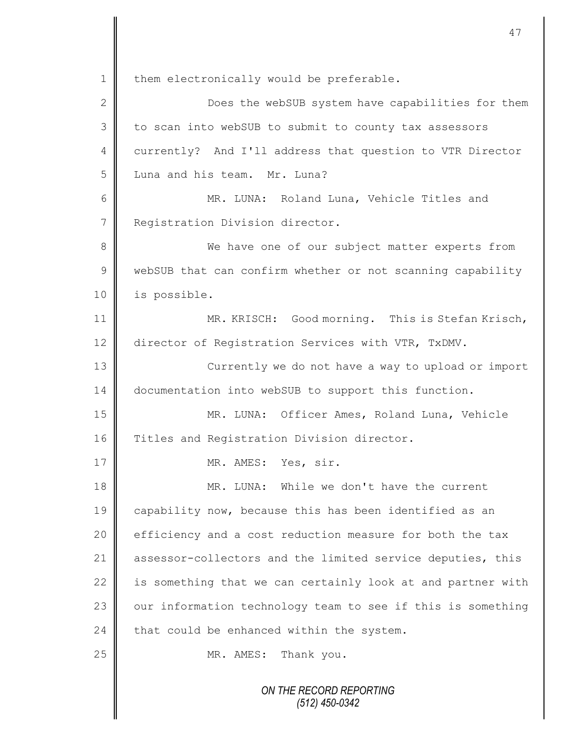*ON THE RECORD REPORTING* 1 | them electronically would be preferable. 2 Does the webSUB system have capabilities for them  $3 \parallel$  to scan into webSUB to submit to county tax assessors 4 currently? And I'll address that question to VTR Director 5 Luna and his team. Mr. Luna? 6 || MR. LUNA: Roland Luna, Vehicle Titles and 7 | Registration Division director. 8 We have one of our subject matter experts from 9 WebSUB that can confirm whether or not scanning capability 10 is possible. 11 **MR. KRISCH:** Good morning. This is Stefan Krisch, 12 director of Registration Services with VTR, TxDMV. 13 || Currently we do not have a way to upload or import 14 documentation into webSUB to support this function. 15 MR. LUNA: Officer Ames, Roland Luna, Vehicle 16 Titles and Registration Division director. 17 NR. AMES: Yes, sir. 18 MR. LUNA: While we don't have the current 19 capability now, because this has been identified as an  $20$   $\parallel$  efficiency and a cost reduction measure for both the tax 21 assessor-collectors and the limited service deputies, this  $22$  is something that we can certainly look at and partner with  $23$  | our information technology team to see if this is something 24  $\parallel$  that could be enhanced within the system. 25 MR. AMES: Thank you.

47

*(512) 450-0342*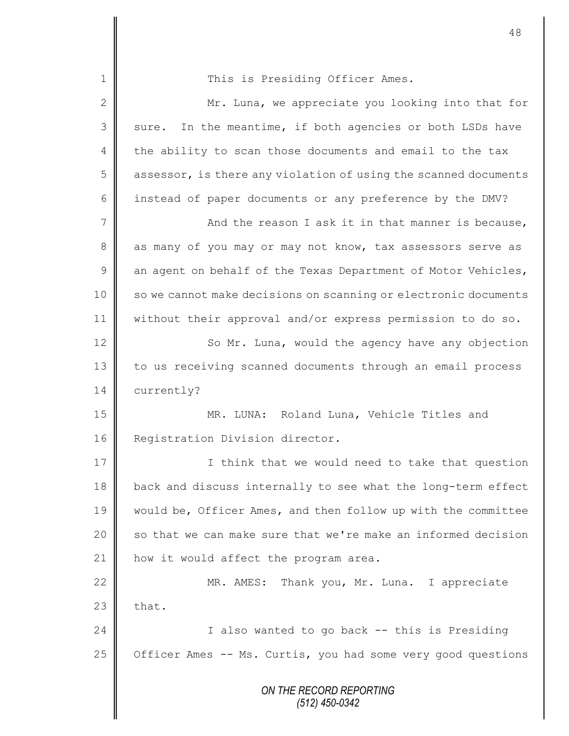*ON THE RECORD REPORTING (512) 450-0342* 1 This is Presiding Officer Ames. 2 Mr. Luna, we appreciate you looking into that for  $3 \parallel$  sure. In the meantime, if both agencies or both LSDs have 4 the ability to scan those documents and email to the tax  $5 \parallel$  assessor, is there any violation of using the scanned documents 6 instead of paper documents or any preference by the DMV? 7 And the reason I ask it in that manner is because, 8 as many of you may or may not know, tax assessors serve as  $9 \parallel$  an agent on behalf of the Texas Department of Motor Vehicles, 10 | so we cannot make decisions on scanning or electronic documents 11 without their approval and/or express permission to do so. 12 | So Mr. Luna, would the agency have any objection 13 to us receiving scanned documents through an email process 14 currently? 15 MR. LUNA: Roland Luna, Vehicle Titles and 16 Registration Division director. 17 I think that we would need to take that question 18 back and discuss internally to see what the long-term effect 19 would be, Officer Ames, and then follow up with the committee 20  $\parallel$  so that we can make sure that we're make an informed decision 21  $\parallel$  how it would affect the program area. 22 | MR. AMES: Thank you, Mr. Luna. I appreciate  $23$   $\parallel$  that. 24 | I also wanted to go back -- this is Presiding 25  $\parallel$  Officer Ames -- Ms. Curtis, you had some very good questions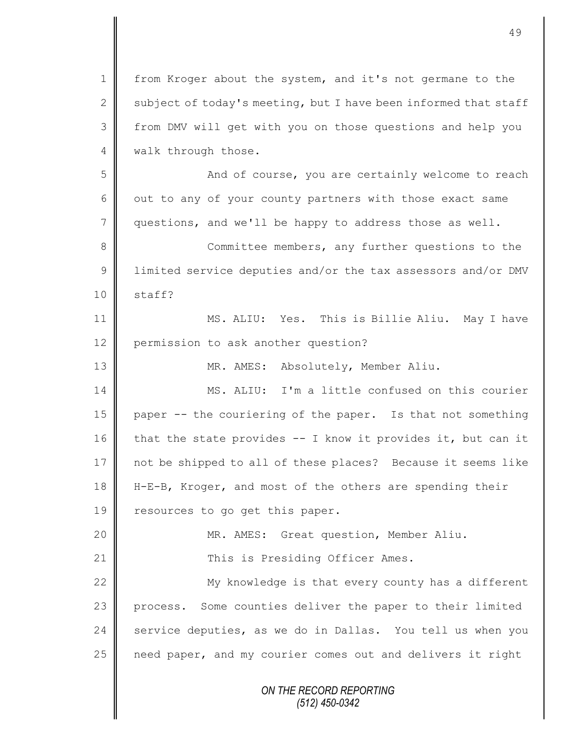*ON THE RECORD REPORTING (512) 450-0342* 1 from Kroger about the system, and it's not germane to the 2 subject of today's meeting, but I have been informed that staff 3 | from DMV will get with you on those questions and help you 4 | walk through those. 5 || And of course, you are certainly welcome to reach 6 | out to any of your county partners with those exact same 7 questions, and we'll be happy to address those as well. 8 **Committee members, any further questions to the** 9 Ulimited service deputies and/or the tax assessors and/or DMV  $10 \parallel$  staff? 11 **||** MS. ALIU: Yes. This is Billie Aliu. May I have 12 permission to ask another question? 13 || MR. AMES: Absolutely, Member Aliu. 14 MS. ALIU: I'm a little confused on this courier 15 paper -- the couriering of the paper. Is that not something 16 that the state provides  $-$  I know it provides it, but can it 17 not be shipped to all of these places? Because it seems like 18 H-E-B, Kroger, and most of the others are spending their 19 resources to go get this paper. 20 || MR. AMES: Great question, Member Aliu. 21 || This is Presiding Officer Ames.  $22$   $\parallel$  My knowledge is that every county has a different 23 process. Some counties deliver the paper to their limited 24  $\parallel$  service deputies, as we do in Dallas. You tell us when you 25 | need paper, and my courier comes out and delivers it right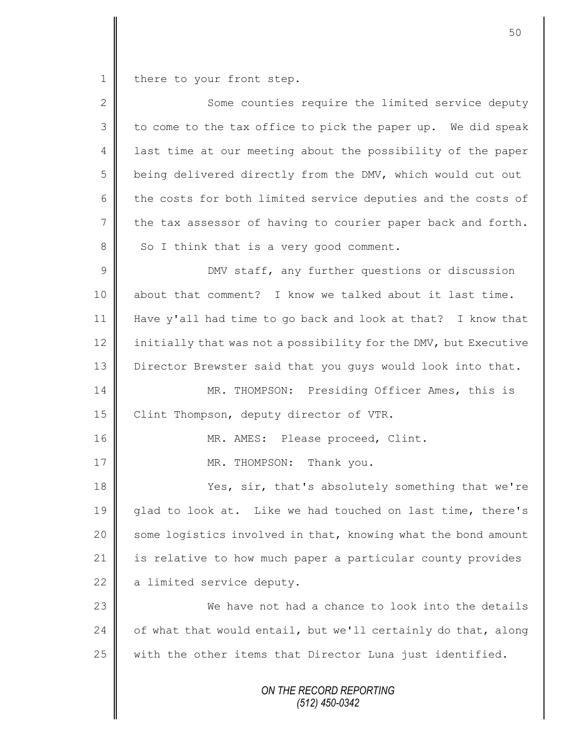1 there to your front step.

| $\overline{2}$ | Some counties require the limited service deputy                |
|----------------|-----------------------------------------------------------------|
| 3              | to come to the tax office to pick the paper up. We did speak    |
| 4              | last time at our meeting about the possibility of the paper     |
| 5              | being delivered directly from the DMV, which would cut out      |
| 6              | the costs for both limited service deputies and the costs of    |
| $\overline{7}$ | the tax assessor of having to courier paper back and forth.     |
| 8              | So I think that is a very good comment.                         |
| $\mathcal{G}$  | DMV staff, any further questions or discussion                  |
| 10             | about that comment? I know we talked about it last time.        |
| 11             | Have y'all had time to go back and look at that? I know that    |
| 12             | initially that was not a possibility for the DMV, but Executive |
| 13             | Director Brewster said that you guys would look into that.      |
| 14             | MR. THOMPSON: Presiding Officer Ames, this is                   |
| 15             | Clint Thompson, deputy director of VTR.                         |
| 16             | MR. AMES: Please proceed, Clint.                                |
| 17             | MR. THOMPSON: Thank you.                                        |
| 18             | Yes, sir, that's absolutely something that we're                |
| 19             | glad to look at. Like we had touched on last time, there's      |
| 20             | some logistics involved in that, knowing what the bond amount   |
| 21             | is relative to how much paper a particular county provides      |
| 22             | a limited service deputy.                                       |
| 23             | We have not had a chance to look into the details               |
| 24             | of what that would entail, but we'll certainly do that, along   |
| 25             | with the other items that Director Luna just identified.        |
|                | ON THE RECORD REPORTING                                         |

*(512) 450-0342*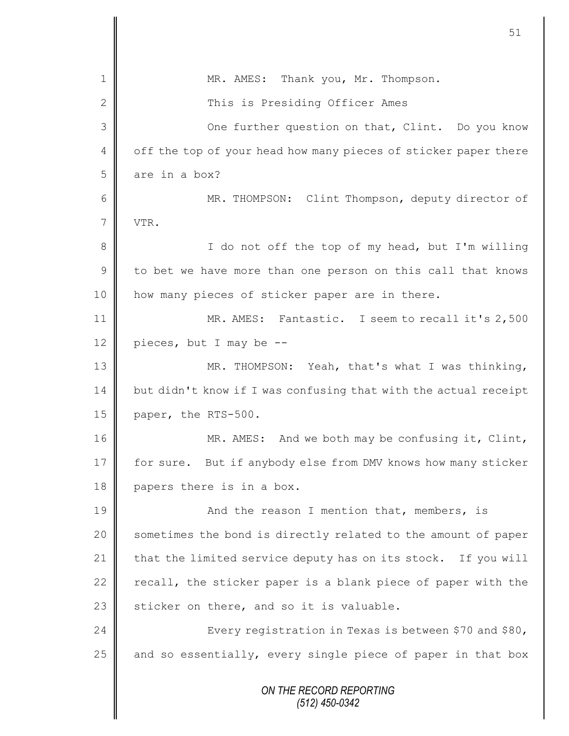|                | 51                                                              |
|----------------|-----------------------------------------------------------------|
| $\mathbf 1$    | MR. AMES: Thank you, Mr. Thompson.                              |
| $\mathbf{2}$   | This is Presiding Officer Ames                                  |
| 3              | One further question on that, Clint. Do you know                |
| 4              | off the top of your head how many pieces of sticker paper there |
| 5              | are in a box?                                                   |
| 6              | MR. THOMPSON: Clint Thompson, deputy director of                |
| $\overline{7}$ | VTR.                                                            |
| 8              | I do not off the top of my head, but I'm willing                |
| $\mathcal{G}$  | to bet we have more than one person on this call that knows     |
| 10             | how many pieces of sticker paper are in there.                  |
| 11             | MR. AMES: Fantastic. I seem to recall it's 2,500                |
| 12             | pieces, but I may be --                                         |
| 13             | MR. THOMPSON: Yeah, that's what I was thinking,                 |
| 14             | but didn't know if I was confusing that with the actual receipt |
| 15             | paper, the RTS-500.                                             |
| 16             | MR. AMES: And we both may be confusing it, Clint,               |
| 17             | for sure. But if anybody else from DMV knows how many sticker   |
| 18             | papers there is in a box.                                       |
| 19             | And the reason I mention that, members, is                      |
| 20             | sometimes the bond is directly related to the amount of paper   |
| 21             | that the limited service deputy has on its stock. If you will   |
| 22             | recall, the sticker paper is a blank piece of paper with the    |
| 23             | sticker on there, and so it is valuable.                        |
| 24             | Every registration in Texas is between \$70 and \$80,           |
| 25             | and so essentially, every single piece of paper in that box     |
|                | ON THE RECORD REPORTING<br>(512) 450-0342                       |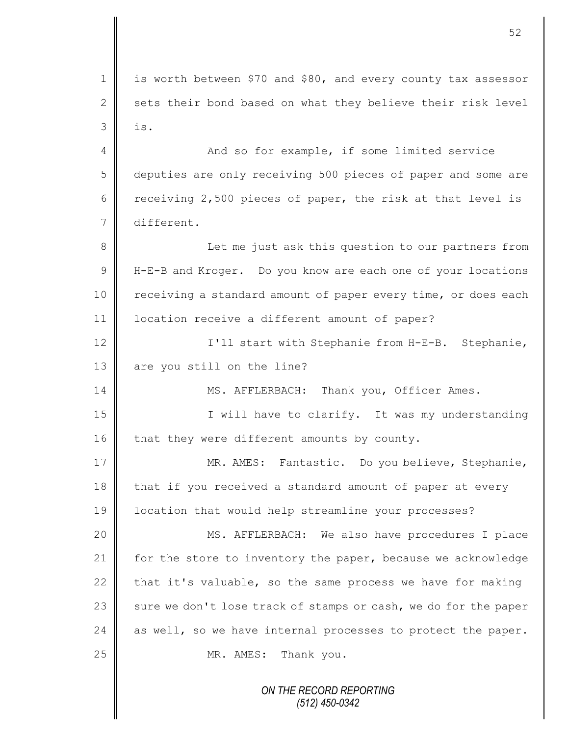*ON THE RECORD REPORTING (512) 450-0342* 1 is worth between \$70 and \$80, and every county tax assessor 2 sets their bond based on what they believe their risk level  $3 \parallel$  is. 4 And so for example, if some limited service 5 deputies are only receiving 500 pieces of paper and some are 6 Teceiving 2,500 pieces of paper, the risk at that level is 7 different. 8 || Let me just ask this question to our partners from 9 H H-E-B and Kroger. Do you know are each one of your locations 10 | receiving a standard amount of paper every time, or does each 11 | location receive a different amount of paper? 12 || I'll start with Stephanie from H-E-B. Stephanie, 13 || are you still on the line? 14 || MS. AFFLERBACH: Thank you, Officer Ames. 15 || Twill have to clarify. It was my understanding 16  $\parallel$  that they were different amounts by county. 17 | MR. AMES: Fantastic. Do you believe, Stephanie, 18 that if you received a standard amount of paper at every 19 location that would help streamline your processes? 20 MS. AFFLERBACH: We also have procedures I place 21 | for the store to inventory the paper, because we acknowledge 22 that it's valuable, so the same process we have for making 23  $\parallel$  sure we don't lose track of stamps or cash, we do for the paper 24  $\parallel$  as well, so we have internal processes to protect the paper. 25 MR. AMES: Thank you.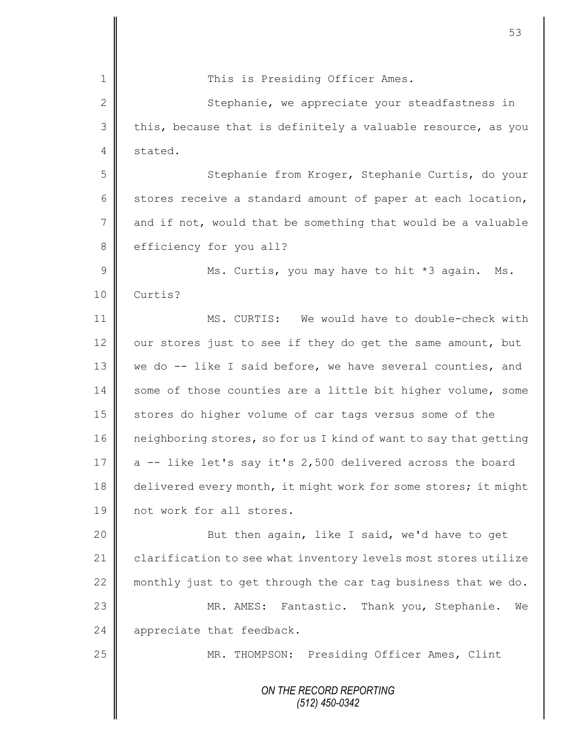*ON THE RECORD REPORTING (512) 450-0342* 1 This is Presiding Officer Ames. 2 Stephanie, we appreciate your steadfastness in  $3 \parallel$  this, because that is definitely a valuable resource, as you 4 stated. 5 Stephanie from Kroger, Stephanie Curtis, do your 6 stores receive a standard amount of paper at each location,  $7 \parallel$  and if not, would that be something that would be a valuable 8 efficiency for you all? 9 || Ms. Curtis, you may have to hit \*3 again. Ms. 10 Curtis? 11 MS. CURTIS: We would have to double-check with 12  $\parallel$  our stores just to see if they do get the same amount, but 13 | we do -- like I said before, we have several counties, and 14 some of those counties are a little bit higher volume, some 15 stores do higher volume of car tags versus some of the 16 neighboring stores, so for us I kind of want to say that getting 17  $\parallel$  a -- like let's say it's 2,500 delivered across the board 18 delivered every month, it might work for some stores; it might 19 **||** not work for all stores. 20 || But then again, like I said, we'd have to get 21 clarification to see what inventory levels most stores utilize 22 monthly just to get through the car tag business that we do. 23 MR. AMES: Fantastic. Thank you, Stephanie. We 24  $\parallel$  appreciate that feedback. 25 | MR. THOMPSON: Presiding Officer Ames, Clint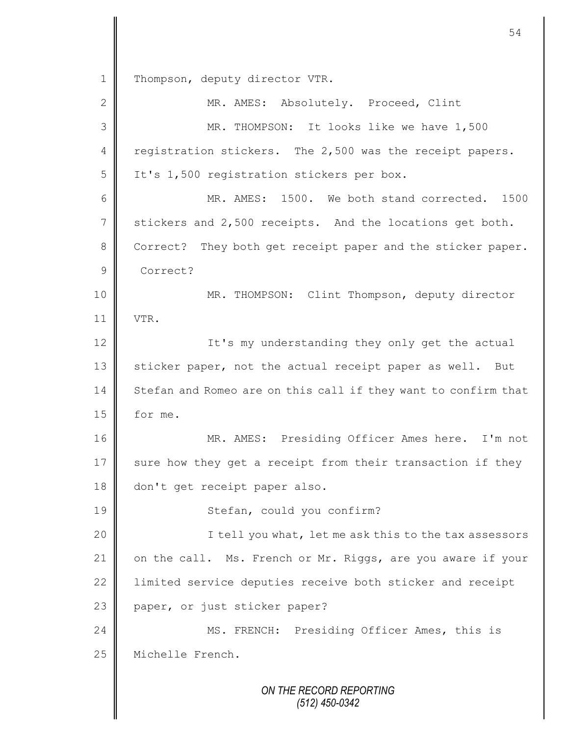*ON THE RECORD REPORTING (512) 450-0342* 1 | Thompson, deputy director VTR. 2 MR. AMES: Absolutely. Proceed, Clint 3 MR. THOMPSON: It looks like we have 1,500 4 registration stickers. The 2,500 was the receipt papers. 5 | It's 1,500 registration stickers per box. 6 MR. AMES: 1500. We both stand corrected. 1500 7 stickers and 2,500 receipts. And the locations get both. 8 Correct? They both get receipt paper and the sticker paper. 9 Correct? 10 MR. THOMPSON: Clint Thompson, deputy director 11 VTR. 12 | It's my understanding they only get the actual 13 Sticker paper, not the actual receipt paper as well. But 14 Stefan and Romeo are on this call if they want to confirm that 15 | for me. 16 MR. AMES: Presiding Officer Ames here. I'm not 17 sure how they get a receipt from their transaction if they 18 don't get receipt paper also. 19 || Stefan, could you confirm? 20 || I tell you what, let me ask this to the tax assessors 21 | on the call. Ms. French or Mr. Riggs, are you aware if your 22 | limited service deputies receive both sticker and receipt 23 paper, or just sticker paper? 24 MS. FRENCH: Presiding Officer Ames, this is 25 | Michelle French.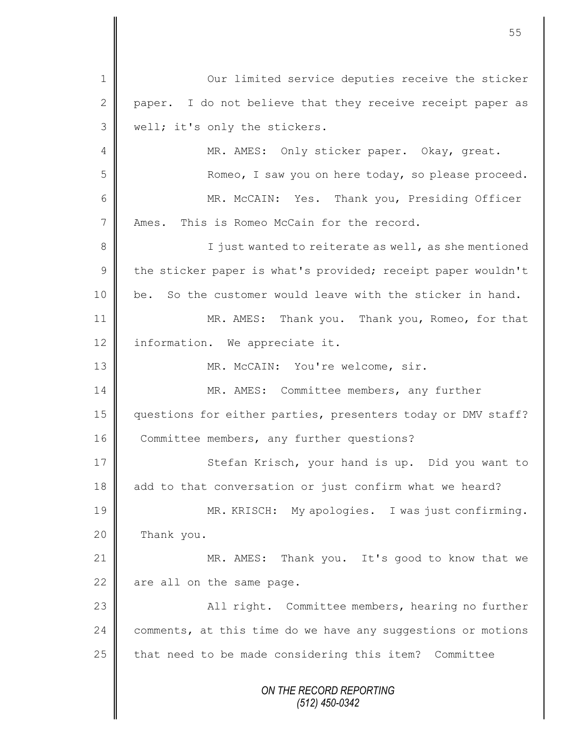|                 | 55                                                            |
|-----------------|---------------------------------------------------------------|
| $\mathbf{1}$    | Our limited service deputies receive the sticker              |
| $\mathbf{2}$    | I do not believe that they receive receipt paper as<br>paper. |
| 3               | well; it's only the stickers.                                 |
| 4               | MR. AMES: Only sticker paper. Okay, great.                    |
| 5               | Romeo, I saw you on here today, so please proceed.            |
| 6               | MR. McCAIN: Yes. Thank you, Presiding Officer                 |
| $7\phantom{.0}$ | Ames. This is Romeo McCain for the record.                    |
| $8\,$           | I just wanted to reiterate as well, as she mentioned          |
| $\mathsf 9$     | the sticker paper is what's provided; receipt paper wouldn't  |
| 10              | be. So the customer would leave with the sticker in hand.     |
| 11              | MR. AMES: Thank you. Thank you, Romeo, for that               |
| 12              | information. We appreciate it.                                |
| 13              | MR. McCAIN: You're welcome, sir.                              |
| 14              | MR. AMES: Committee members, any further                      |
| 15              | questions for either parties, presenters today or DMV staff?  |
| 16              | Committee members, any further questions?                     |
| 17              | Stefan Krisch, your hand is up. Did you want to               |
| 18              | add to that conversation or just confirm what we heard?       |
| 19              | MR. KRISCH: My apologies. I was just confirming.              |
| 20              | Thank you.                                                    |
| 21              | MR. AMES: Thank you. It's good to know that we                |
| 22              | are all on the same page.                                     |
| 23              | All right. Committee members, hearing no further              |
| 24              | comments, at this time do we have any suggestions or motions  |
| 25              | that need to be made considering this item? Committee         |
|                 | ON THE RECORD REPORTING<br>$(512)$ 450-0342                   |

 $\mathsf{I}$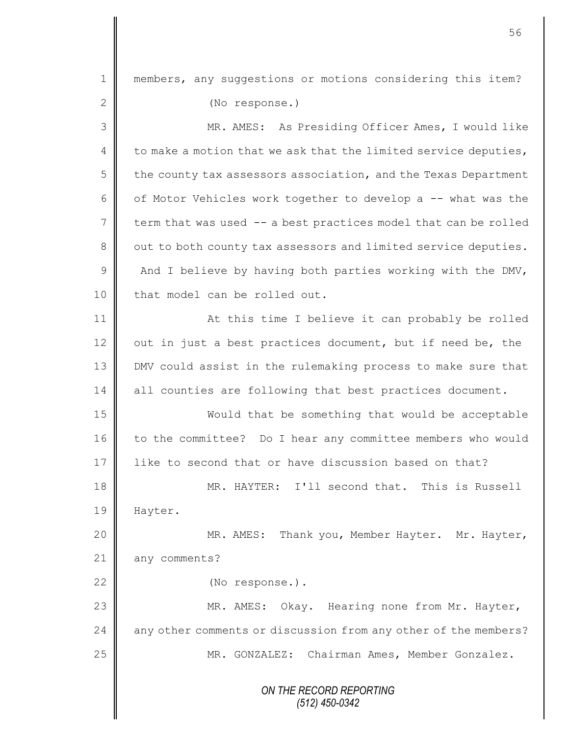| $\mathbf 1$    | members, any suggestions or motions considering this item?      |
|----------------|-----------------------------------------------------------------|
| $\mathbf{2}$   | (No response.)                                                  |
| 3              | MR. AMES: As Presiding Officer Ames, I would like               |
| $\overline{4}$ | to make a motion that we ask that the limited service deputies, |
| 5              | the county tax assessors association, and the Texas Department  |
| 6              | of Motor Vehicles work together to develop a -- what was the    |
| 7              | term that was used -- a best practices model that can be rolled |
| $8\,$          | out to both county tax assessors and limited service deputies.  |
| $\overline{9}$ | And I believe by having both parties working with the DMV,      |
| 10             | that model can be rolled out.                                   |
| 11             | At this time I believe it can probably be rolled                |
| 12             | out in just a best practices document, but if need be, the      |
| 13             | DMV could assist in the rulemaking process to make sure that    |
| 14             | all counties are following that best practices document.        |
| 15             | Would that be something that would be acceptable                |
| 16             | to the committee? Do I hear any committee members who would     |
| 17             | like to second that or have discussion based on that?           |
| 18             | MR. HAYTER: I'll second that. This is Russell                   |
| 19             | Hayter.                                                         |
| 20             | MR. AMES: Thank you, Member Hayter. Mr. Hayter,                 |
| 21             | any comments?                                                   |
| 22             | (No response.).                                                 |
| 23             | MR. AMES: Okay. Hearing none from Mr. Hayter,                   |
| 24             | any other comments or discussion from any other of the members? |
| 25             | MR. GONZALEZ: Chairman Ames, Member Gonzalez.                   |
|                | ON THE RECORD REPORTING                                         |
|                | $(512)$ 450-0342                                                |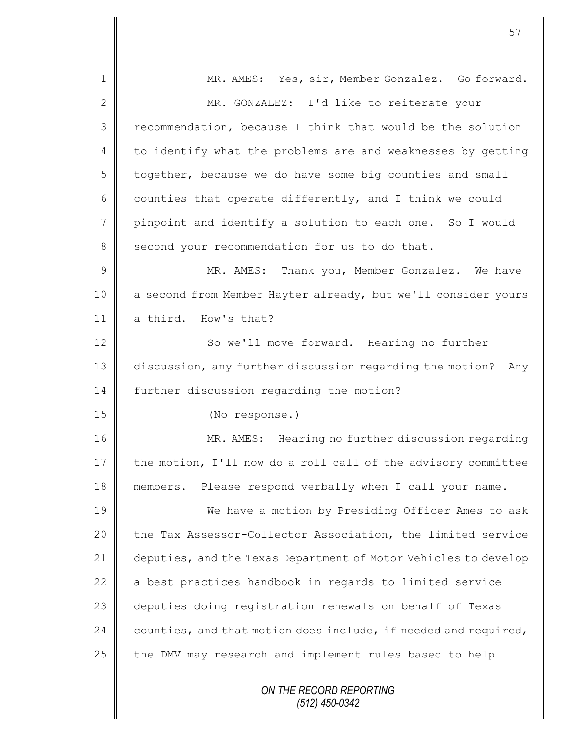| $\mathbf 1$    | MR. AMES: Yes, sir, Member Gonzalez. Go forward.                |
|----------------|-----------------------------------------------------------------|
| $\mathbf{2}$   | MR. GONZALEZ: I'd like to reiterate your                        |
| 3              | recommendation, because I think that would be the solution      |
| $\overline{4}$ | to identify what the problems are and weaknesses by getting     |
| 5              | together, because we do have some big counties and small        |
| 6              | counties that operate differently, and I think we could         |
| $\overline{7}$ | pinpoint and identify a solution to each one. So I would        |
| 8              | second your recommendation for us to do that.                   |
| $\mathcal{G}$  | MR. AMES: Thank you, Member Gonzalez. We have                   |
| 10             | a second from Member Hayter already, but we'll consider yours   |
| 11             | a third. How's that?                                            |
| 12             | So we'll move forward. Hearing no further                       |
| 13             | discussion, any further discussion regarding the motion? Any    |
| 14             | further discussion regarding the motion?                        |
| 15             | (No response.)                                                  |
| 16             | MR. AMES: Hearing no further discussion regarding               |
| 17             | the motion, I'll now do a roll call of the advisory committee   |
| 18             | members. Please respond verbally when I call your name.         |
| 19             | We have a motion by Presiding Officer Ames to ask               |
| 20             | the Tax Assessor-Collector Association, the limited service     |
| 21             | deputies, and the Texas Department of Motor Vehicles to develop |
| 22             | a best practices handbook in regards to limited service         |
| 23             | deputies doing registration renewals on behalf of Texas         |
| 24             | counties, and that motion does include, if needed and required, |
| 25             | the DMV may research and implement rules based to help          |
|                | ON THE RECORD REPORTING<br>$(512)$ 450-0342                     |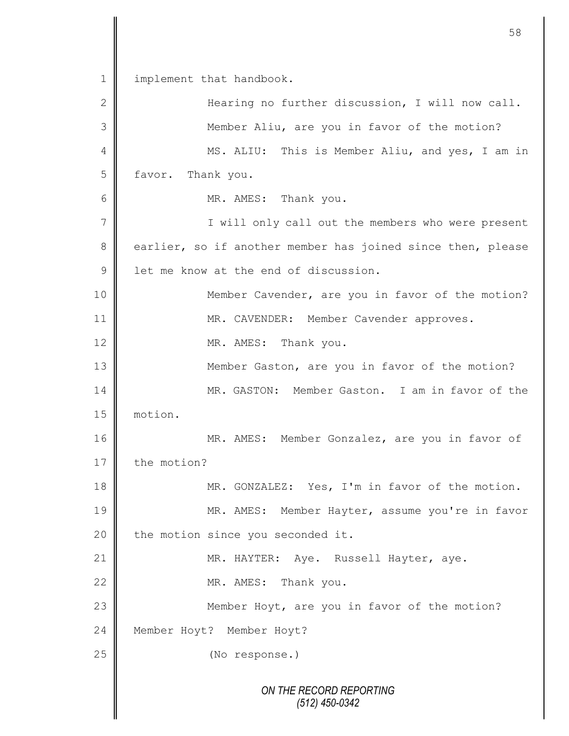*ON THE RECORD REPORTING (512) 450-0342* 1 | implement that handbook. 2 Hearing no further discussion, I will now call. 3 || Member Aliu, are you in favor of the motion? 4 MS. ALIU: This is Member Aliu, and yes, I am in 5 favor. Thank you. 6 MR. AMES: Thank you. 7 || I will only call out the members who were present 8 earlier, so if another member has joined since then, please 9 **l** let me know at the end of discussion. 10 || Member Cavender, are you in favor of the motion? 11 | MR. CAVENDER: Member Cavender approves. 12 MR. AMES: Thank you. 13 **Member Gaston, are you in favor of the motion?** 14 MR. GASTON: Member Gaston. I am in favor of the 15 motion. 16 | MR. AMES: Member Gonzalez, are you in favor of 17 the motion? 18 || MR. GONZALEZ: Yes, I'm in favor of the motion. 19 || MR. AMES: Member Hayter, assume you're in favor 20  $\parallel$  the motion since you seconded it. 21 | MR. HAYTER: Aye. Russell Hayter, aye. 22 MR. AMES: Thank you. 23  $\parallel$  Member Hoyt, are you in favor of the motion? 24 | Member Hoyt? Member Hoyt? 25 (No response.)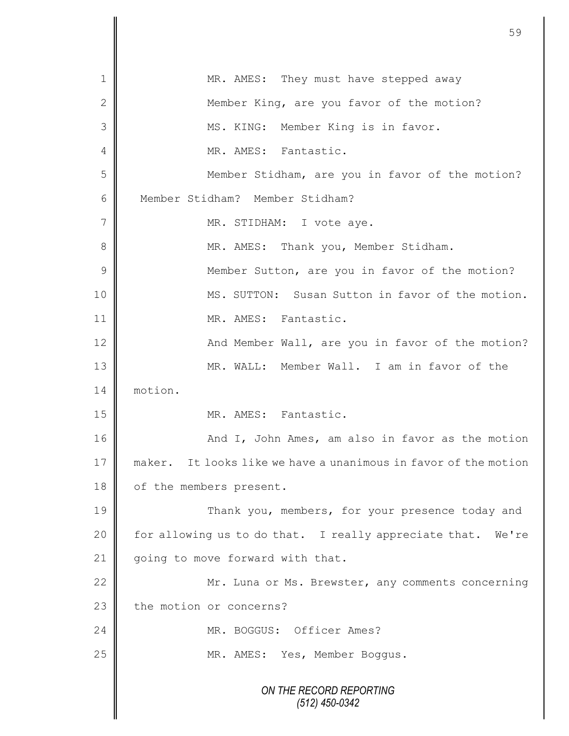| $\mathbf 1$    | MR. AMES: They must have stepped away                              |
|----------------|--------------------------------------------------------------------|
| $\mathbf{2}$   | Member King, are you favor of the motion?                          |
| 3              | MS. KING: Member King is in favor.                                 |
| 4              | MR. AMES: Fantastic.                                               |
| 5              | Member Stidham, are you in favor of the motion?                    |
| 6              | Member Stidham? Member Stidham?                                    |
| 7              | MR. STIDHAM: I vote aye.                                           |
| 8              | MR. AMES: Thank you, Member Stidham.                               |
| $\overline{9}$ | Member Sutton, are you in favor of the motion?                     |
| 10             | MS. SUTTON: Susan Sutton in favor of the motion.                   |
| 11             | MR. AMES: Fantastic.                                               |
| 12             | And Member Wall, are you in favor of the motion?                   |
| 13             | MR. WALL: Member Wall. I am in favor of the                        |
| 14             | motion.                                                            |
| 15             | MR. AMES: Fantastic.                                               |
| 16             | And I, John Ames, am also in favor as the motion                   |
| 17             | It looks like we have a unanimous in favor of the motion<br>maker. |
| 18             | of the members present.                                            |
| 19             | Thank you, members, for your presence today and                    |
| 20             | for allowing us to do that. I really appreciate that. We're        |
| 21             | going to move forward with that.                                   |
| 22             | Mr. Luna or Ms. Brewster, any comments concerning                  |
| 23             | the motion or concerns?                                            |
| 24             | MR. BOGGUS: Officer Ames?                                          |
| 25             | MR. AMES: Yes, Member Boggus.                                      |
|                | ON THE RECORD REPORTING<br>(512) 450-0342                          |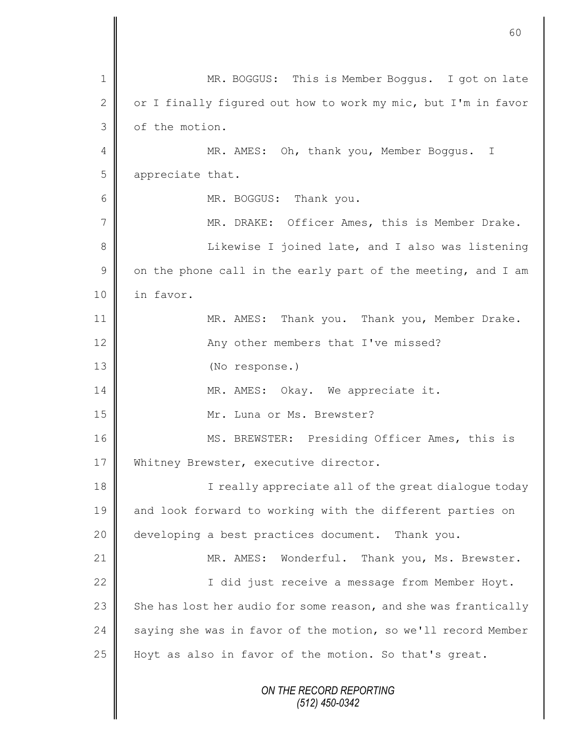|               | 60                                                              |
|---------------|-----------------------------------------------------------------|
|               |                                                                 |
| 1             | MR. BOGGUS: This is Member Boggus. I got on late                |
| $\mathbf{2}$  | or I finally figured out how to work my mic, but I'm in favor   |
| 3             | of the motion.                                                  |
| 4             | MR. AMES: Oh, thank you, Member Boggus.<br>T                    |
| 5             | appreciate that.                                                |
| 6             | MR. BOGGUS: Thank you.                                          |
| 7             | MR. DRAKE: Officer Ames, this is Member Drake.                  |
| 8             | Likewise I joined late, and I also was listening                |
| $\mathcal{G}$ | on the phone call in the early part of the meeting, and I am    |
| 10            | in favor.                                                       |
| 11            | MR. AMES: Thank you. Thank you, Member Drake.                   |
| 12            | Any other members that I've missed?                             |
| 13            | (No response.)                                                  |
| 14            | MR. AMES: Okay. We appreciate it.                               |
| 15            | Mr. Luna or Ms. Brewster?                                       |
| 16            | MS. BREWSTER: Presiding Officer Ames, this is                   |
| 17            | Whitney Brewster, executive director.                           |
| 18            | I really appreciate all of the great dialogue today             |
| 19            | and look forward to working with the different parties on       |
| 20            | developing a best practices document. Thank you.                |
| 21            | MR. AMES: Wonderful. Thank you, Ms. Brewster.                   |
| 22            | I did just receive a message from Member Hoyt.                  |
| 23            | She has lost her audio for some reason, and she was frantically |
| 24            | saying she was in favor of the motion, so we'll record Member   |
| 25            | Hoyt as also in favor of the motion. So that's great.           |
|               | ON THE RECORD REPORTING<br>(512) 450-0342                       |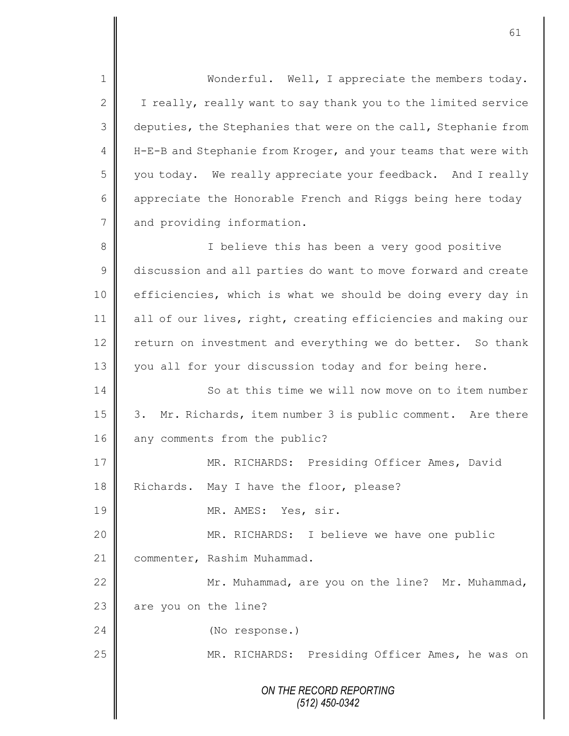*ON THE RECORD REPORTING (512) 450-0342* 1 || Wonderful. Well, I appreciate the members today. 2 | I really, really want to say thank you to the limited service 3 deputies, the Stephanies that were on the call, Stephanie from 4 | H-E-B and Stephanie from Kroger, and your teams that were with 5 you today. We really appreciate your feedback. And I really 6 appreciate the Honorable French and Riggs being here today 7 and providing information. 8 || Solieve this has been a very good positive 9 discussion and all parties do want to move forward and create 10 | efficiencies, which is what we should be doing every day in 11 | all of our lives, right, creating efficiencies and making our 12 return on investment and everything we do better. So thank 13 you all for your discussion today and for being here. 14 | So at this time we will now move on to item number 15 | 3. Mr. Richards, item number 3 is public comment. Are there 16 any comments from the public? 17 NR. RICHARDS: Presiding Officer Ames, David 18 Richards. May I have the floor, please? 19 NR. AMES: Yes, sir. 20 MR. RICHARDS: I believe we have one public 21 | commenter, Rashim Muhammad. 22 Mr. Muhammad, are you on the line? Mr. Muhammad,  $23$  | are you on the line? 24 (No response.) 25 || MR. RICHARDS: Presiding Officer Ames, he was on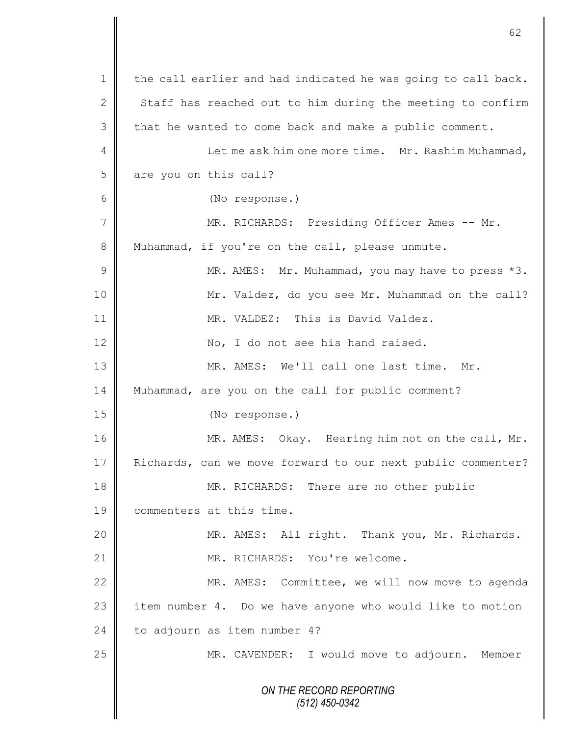*ON THE RECORD REPORTING (512) 450-0342* 1 the call earlier and had indicated he was going to call back. 2  $\parallel$  Staff has reached out to him during the meeting to confirm  $3 \parallel$  that he wanted to come back and make a public comment. 4 | Let me ask him one more time. Mr. Rashim Muhammad, 5 are you on this call? 6 (No response.) 7 MR. RICHARDS: Presiding Officer Ames -- Mr. 8 Muhammad, if you're on the call, please unmute. 9 || MR. AMES: Mr. Muhammad, you may have to press \*3. 10 || Mr. Valdez, do you see Mr. Muhammad on the call? 11 MR. VALDEZ: This is David Valdez. 12 No, I do not see his hand raised. 13 MR. AMES: We'll call one last time. Mr. 14 Muhammad, are you on the call for public comment? 15 (No response.) 16 | MR. AMES: Okay. Hearing him not on the call, Mr. 17 Richards, can we move forward to our next public commenter? 18 MR. RICHARDS: There are no other public 19 commenters at this time. 20 MR. AMES: All right. Thank you, Mr. Richards. 21 || MR. RICHARDS: You're welcome. 22 | MR. AMES: Committee, we will now move to agenda 23 item number 4. Do we have anyone who would like to motion 24 to adjourn as item number 4? 25 | MR. CAVENDER: I would move to adjourn. Member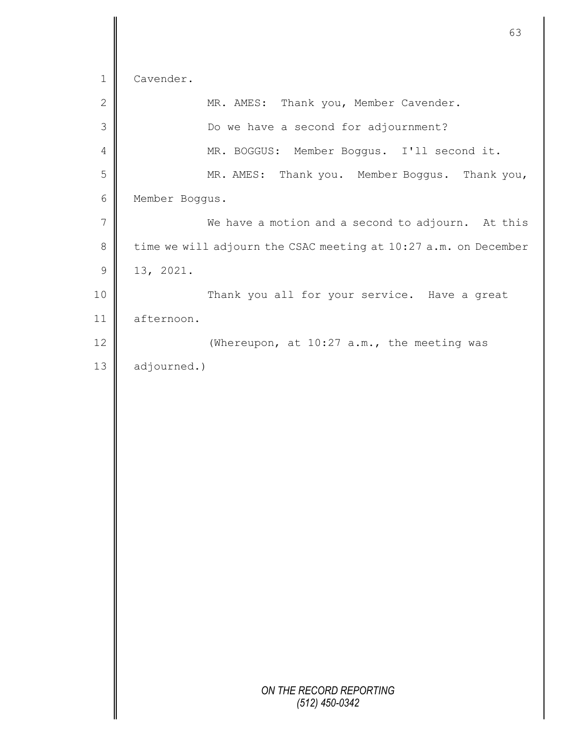|             | 63                                                              |
|-------------|-----------------------------------------------------------------|
| $\mathbf 1$ | Cavender.                                                       |
| $\mathbf 2$ | MR. AMES: Thank you, Member Cavender.                           |
| 3           | Do we have a second for adjournment?                            |
| 4           | MR. BOGGUS: Member Boggus. I'll second it.                      |
| 5           | MR. AMES: Thank you. Member Boggus. Thank you,                  |
| 6           | Member Boggus.                                                  |
| 7           | We have a motion and a second to adjourn. At this               |
| $\,8\,$     | time we will adjourn the CSAC meeting at 10:27 a.m. on December |
| $\mathsf 9$ | 13, 2021.                                                       |
| 10          | Thank you all for your service. Have a great                    |
| 11          | afternoon.                                                      |
| 12          | (Whereupon, at 10:27 a.m., the meeting was                      |
| 13          | adjourned.)                                                     |
|             |                                                                 |
|             |                                                                 |
|             |                                                                 |
|             |                                                                 |
|             |                                                                 |
|             |                                                                 |
|             |                                                                 |
|             |                                                                 |
|             |                                                                 |
|             |                                                                 |
|             |                                                                 |
|             |                                                                 |
|             |                                                                 |
|             | ON THE RECORD REPORTING<br>$(512)$ 450-0342                     |